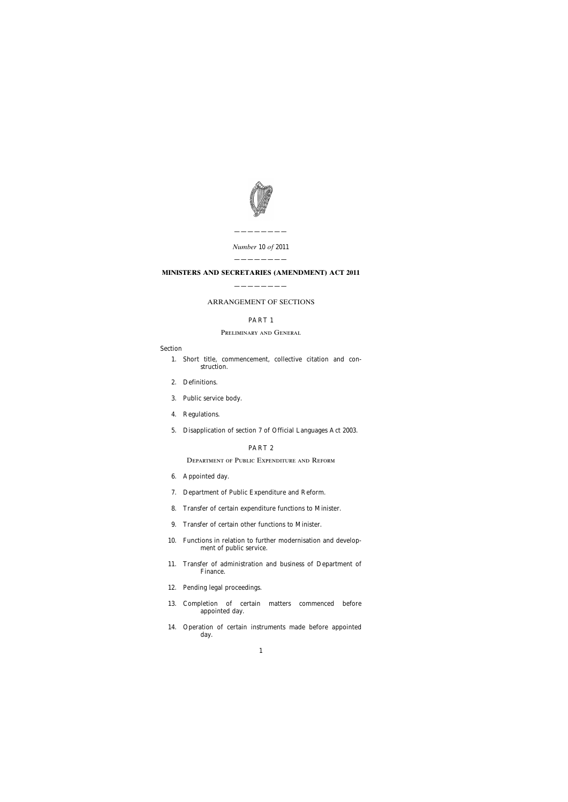

*Number* 10 *of* 2011

————————

# ———————— **MINISTERS AND SECRETARIES (AMENDMENT) ACT 2011**

————————

ARRANGEMENT OF SECTIONS

## PART 1

#### Preliminary and General

#### Section

- [1. Short title, commencement, collective citation and con](#page-8-0)struction.
- [2. Definitions.](#page-9-0)
- [3. Public service body.](#page-9-0)
- [4. Regulations.](#page-11-0)
- [5. Disapplication of section 7 of Official Languages Act 2003.](#page-11-0)

### PART 2

Department of Public Expenditure and Reform

- [6. Appointed day.](#page-11-0)
- [7. Department of Public Expenditure and Reform.](#page-11-0)
- [8. Transfer of certain expenditure functions to Minister.](#page-12-0)
- [9. Transfer of certain other functions to Minister.](#page-12-0)
- [10. Functions in relation to further modernisation and develop](#page-13-0)ment of public service.
- [11. Transfer of administration and business of Department of](#page-14-0) Finance.
- [12. Pending legal proceedings.](#page-14-0)
- [13. Completion of certain matters commenced before](#page-14-0) appointed day.
- [14. Operation of certain instruments made before appointed](#page-14-0) day.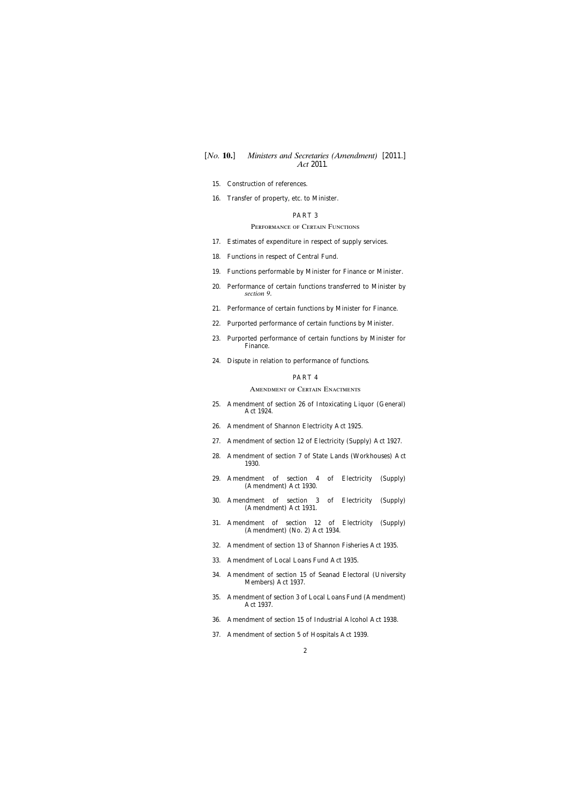- [15. Construction of references.](#page-14-0)
- [16. Transfer of property, etc. to Minister.](#page-15-0)

#### PART 3

#### PERFORMANCE OF CERTAIN FUNCTIONS

- [17. Estimates of expenditure in respect of supply services.](#page-16-0)
- [18. Functions in respect of Central Fund.](#page-17-0)
- [19. Functions performable by Minister for Finance or Minister.](#page-18-0)
- [20. Performance of certain functions transferred to Minister by](#page-18-0) *section 9*.
- [21. Performance of certain functions by Minister for Finance.](#page-18-0)
- [22. Purported performance of certain functions by Minister.](#page-18-0)
- [23. Purported performance of certain functions by Minister for](#page-19-0) Finance.
- [24. Dispute in relation to performance of functions.](#page-19-0)

### PART 4

#### Amendment of Certain Enactments

- [25. Amendment of section 26 of Intoxicating Liquor \(General\)](#page-19-0) Act 1924.
- [26. Amendment of Shannon Electricity Act 1925.](#page-20-0)
- [27. Amendment of section 12 of Electricity \(Supply\) Act 1927.](#page-20-0)
- [28. Amendment of section 7 of State Lands \(Workhouses\) Act](#page-20-0) 1930.
- [29. Amendment of section 4 of Electricity \(Supply\)](#page-20-0) (Amendment) Act 1930.
- [30. Amendment of section 3 of Electricity \(Supply\)](#page-20-0) (Amendment) Act 1931.
- [31. Amendment of section 12 of Electricity \(Supply\)](#page-20-0) (Amendment) (No. 2) Act 1934.
- [32. Amendment of section 13 of Shannon Fisheries Act 1935.](#page-20-0)
- [33. Amendment of Local Loans Fund Act 1935.](#page-21-0)
- [34. Amendment of section 15 of Seanad Electoral \(University](#page-21-0) Members) Act 1937.
- [35. Amendment of section 3 of Local Loans Fund \(Amendment\)](#page-21-0) Act 1937.
- [36. Amendment of section 15 of Industrial Alcohol Act 1938.](#page-22-0)
- [37. Amendment of section 5 of Hospitals Act 1939.](#page-22-0)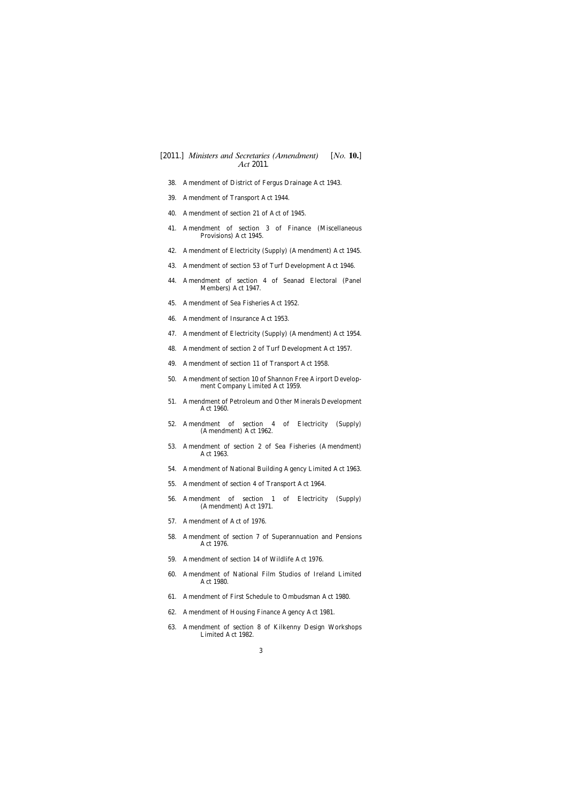- [38. Amendment of District of Fergus Drainage Act 1943.](#page-22-0)
- [39. Amendment of Transport Act 1944.](#page-22-0)
- [40. Amendment of section 21 of Act of 1945.](#page-22-0)
- [41. Amendment of section 3 of Finance \(Miscellaneous](#page-23-0) Provisions) Act 1945.
- [42. Amendment of Electricity \(Supply\) \(Amendment\) Act 1945.](#page-23-0)
- [43. Amendment of section 53 of Turf Development Act 1946.](#page-23-0)
- [44. Amendment of section 4 of Seanad Electoral \(Panel](#page-23-0) Members) Act 1947.
- [45. Amendment of Sea Fisheries Act 1952.](#page-23-0)
- [46. Amendment of Insurance Act 1953.](#page-24-0)
- [47. Amendment of Electricity \(Supply\) \(Amendment\) Act 1954.](#page-24-0)
- [48. Amendment of section 2 of Turf Development Act 1957.](#page-25-0)
- [49. Amendment of section 11 of Transport Act 1958.](#page-25-0)
- [50. Amendment of section 10 of Shannon Free Airport Develop](#page-25-0)ment Company Limited Act 1959.
- [51. Amendment of Petroleum and Other Minerals Development](#page-25-0) Act 1960.
- [52. Amendment of section 4 of Electricity \(Supply\)](#page-25-0) (Amendment) Act 1962.
- [53. Amendment of section 2 of Sea Fisheries \(Amendment\)](#page-25-0) Act 1963.
- [54. Amendment of National Building Agency Limited Act 1963.](#page-25-0)
- [55. Amendment of section 4 of Transport Act 1964.](#page-26-0)
- [56. Amendment of section 1 of Electricity \(Supply\)](#page-26-0) (Amendment) Act 1971.
- [57. Amendment of Act of 1976.](#page-26-0)
- [58. Amendment of section 7 of Superannuation and Pensions](#page-27-0) Act 1976.
- [59. Amendment of section 14 of Wildlife Act 1976.](#page-27-0)
- [60. Amendment of National Film Studios of Ireland Limited](#page-27-0) Act 1980.
- [61. Amendment of First Schedule to Ombudsman Act 1980.](#page-28-0)
- [62. Amendment of Housing Finance Agency Act 1981.](#page-28-0)
- [63. Amendment of section 8 of Kilkenny Design Workshops](#page-28-0) Limited Act 1982.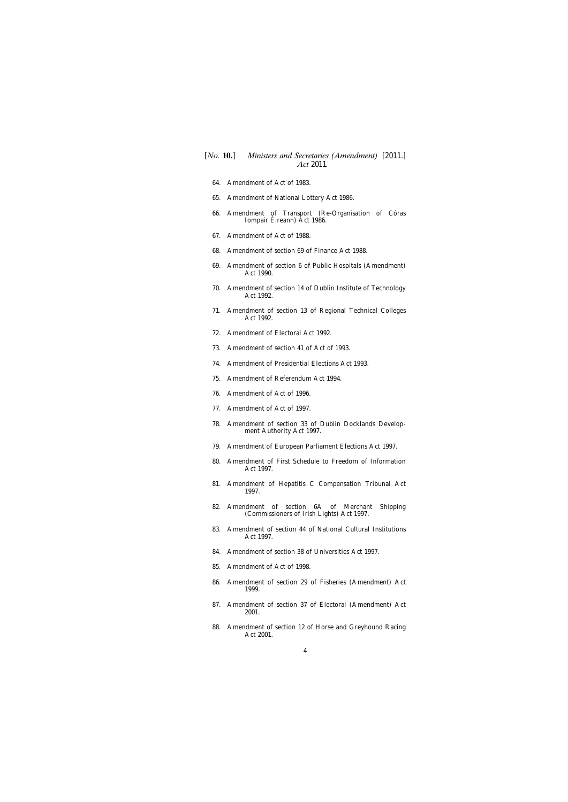- [64. Amendment of Act of 1983.](#page-28-0)
- [65. Amendment of National Lottery Act 1986.](#page-29-0)
- [66. Amendment of Transport \(Re-Organisation of C](#page-30-0)óras Iompair Éireann) Act 1986.
- [67. Amendment of Act of 1988.](#page-30-0)
- [68. Amendment of section 69 of Finance Act 1988.](#page-31-0)
- [69. Amendment of section 6 of Public Hospitals \(Amendment\)](#page-31-0) Act 1990.
- [70. Amendment of section 14 of Dublin Institute of Technology](#page-31-0) Act 1992.
- [71. Amendment of section 13 of Regional Technical Colleges](#page-31-0) Act 1992.
- [72. Amendment of Electoral Act 1992.](#page-31-0)
- [73. Amendment of section 41 of Act of 1993.](#page-32-0)
- [74. Amendment of Presidential Elections Act 1993.](#page-32-0)
- [75. Amendment of Referendum Act 1994.](#page-33-0)
- [76. Amendment of Act of 1996.](#page-33-0)
- [77. Amendment of Act of 1997.](#page-34-0)
- [78. Amendment of section 33 of Dublin Docklands Develop](#page-35-0)ment Authority Act 1997.
- [79. Amendment of European Parliament Elections Act 1997.](#page-35-0)
- [80. Amendment of First Schedule to Freedom of Information](#page-35-0) Act 1997.
- [81. Amendment of Hepatitis C Compensation Tribunal Act](#page-36-0) 1997.
- [82. Amendment of section 6A of Merchant Shipping](#page-36-0) (Commissioners of Irish Lights) Act 1997.
- [83. Amendment of section 44 of National Cultural Institutions](#page-37-0) Act 1997.
- [84. Amendment of section 38 of Universities Act 1997.](#page-37-0)
- [85. Amendment of Act of 1998.](#page-37-0)
- [86. Amendment of section 29 of Fisheries \(Amendment\) Act](#page-37-0) 1999.
- [87. Amendment of section 37 of Electoral \(Amendment\) Act](#page-37-0) 2001.
- [88. Amendment of section 12 of Horse and Greyhound Racing](#page-37-0) Act 2001.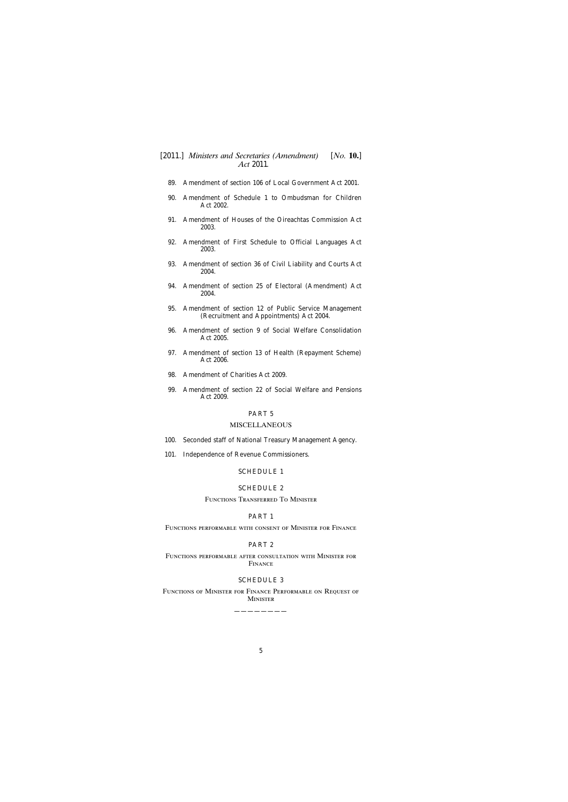- [89. Amendment of section 106 of Local Government Act 2001.](#page-38-0)
- [90. Amendment of Schedule 1 to Ombudsman for Children](#page-38-0) Act 2002.
- [91. Amendment of Houses of the Oireachtas Commission Act](#page-38-0) 2003.
- [92. Amendment of First Schedule to Official Languages Act](#page-38-0) 2003.
- [93. Amendment of section 36 of Civil Liability and Courts Act](#page-38-0) 2004.
- [94. Amendment of section 25 of Electoral \(Amendment\) Act](#page-39-0) 2004.
- [95. Amendment of section 12 of Public Service Management](#page-39-0) (Recruitment and Appointments) Act 2004.
- [96. Amendment of section 9 of Social Welfare Consolidation](#page-39-0) Act 2005.
- [97. Amendment of section 13 of Health \(Repayment Scheme\)](#page-40-0) Act 2006.
- [98. Amendment of Charities Act 2009.](#page-40-0)
- [99. Amendment of section 22 of Social Welfare and Pensions](#page-40-0) Act 2009.

#### PART 5

#### MISCELLANEOUS

- [100. Seconded staff of National Treasury Management Agency.](#page-40-0)
- [101. Independence of Revenue Commissioners.](#page-40-0)

### [SCHEDULE 1](#page-42-0)

#### [SCHEDULE 2](#page-43-0)

#### Functions Transferred To Minister

#### PART 1

Functions performable with consent of Minister for Finance

#### PART 2

Functions performable after consultation with Minister for **FINANCE** 

#### [SCHEDULE 3](#page-47-0)

Functions of Minister for Finance Performable on Request of **MINISTER** 

————————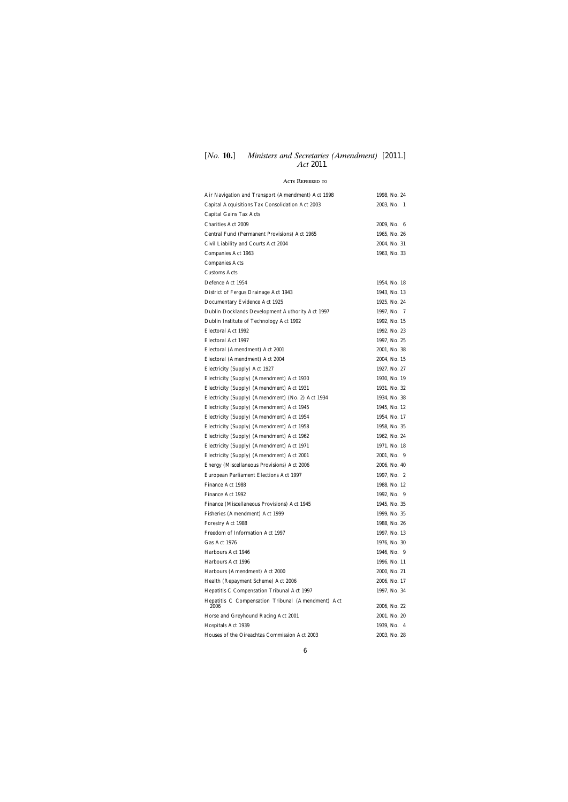### Acts Referred to

| Air Navigation and Transport (Amendment) Act 1998         | 1998, No. 24 |
|-----------------------------------------------------------|--------------|
| Capital Acquisitions Tax Consolidation Act 2003           | 2003, No. 1  |
| Capital Gains Tax Acts                                    |              |
| <b>Charities Act 2009</b>                                 | 2009, No. 6  |
| Central Fund (Permanent Provisions) Act 1965              | 1965, No. 26 |
| Civil Liability and Courts Act 2004                       | 2004, No. 31 |
| Companies Act 1963                                        | 1963, No. 33 |
| <b>Companies Acts</b>                                     |              |
| <b>Customs Acts</b>                                       |              |
| Defence Act 1954                                          | 1954, No. 18 |
| District of Fergus Drainage Act 1943                      | 1943, No. 13 |
| Documentary Evidence Act 1925                             | 1925, No. 24 |
| Dublin Docklands Development Authority Act 1997           | 1997, No. 7  |
| Dublin Institute of Technology Act 1992                   | 1992, No. 15 |
| Electoral Act 1992                                        | 1992, No. 23 |
| Electoral Act 1997                                        | 1997, No. 25 |
| Electoral (Amendment) Act 2001                            | 2001, No. 38 |
| Electoral (Amendment) Act 2004                            | 2004, No. 15 |
| Electricity (Supply) Act 1927                             | 1927, No. 27 |
| Electricity (Supply) (Amendment) Act 1930                 | 1930, No. 19 |
| Electricity (Supply) (Amendment) Act 1931                 | 1931, No. 32 |
| Electricity (Supply) (Amendment) (No. 2) Act 1934         | 1934, No. 38 |
| Electricity (Supply) (Amendment) Act 1945                 | 1945, No. 12 |
| Electricity (Supply) (Amendment) Act 1954                 | 1954, No. 17 |
| Electricity (Supply) (Amendment) Act 1958                 | 1958, No. 35 |
| Electricity (Supply) (Amendment) Act 1962                 | 1962, No. 24 |
| Electricity (Supply) (Amendment) Act 1971                 | 1971, No. 18 |
| Electricity (Supply) (Amendment) Act 2001                 | 2001, No. 9  |
| Energy (Miscellaneous Provisions) Act 2006                | 2006, No. 40 |
| European Parliament Elections Act 1997                    | 1997, No. 2  |
| Finance Act 1988                                          | 1988, No. 12 |
| Finance Act 1992                                          | 1992, No. 9  |
| Finance (Miscellaneous Provisions) Act 1945               | 1945, No. 35 |
| Fisheries (Amendment) Act 1999                            | 1999, No. 35 |
| Forestry Act 1988                                         | 1988, No. 26 |
| Freedom of Information Act 1997                           | 1997, No. 13 |
| Gas Act 1976                                              | 1976, No. 30 |
| Harbours Act 1946                                         | 1946, No. 9  |
| Harbours Act 1996                                         | 1996, No. 11 |
| Harbours (Amendment) Act 2000                             | 2000, No. 21 |
| Health (Repayment Scheme) Act 2006                        | 2006, No. 17 |
| Hepatitis C Compensation Tribunal Act 1997                | 1997, No. 34 |
| Hepatitis C Compensation Tribunal (Amendment) Act<br>2006 | 2006, No. 22 |
| Horse and Greyhound Racing Act 2001                       | 2001, No. 20 |
| Hospitals Act 1939                                        | 1939, No. 4  |
| Houses of the Oireachtas Commission Act 2003              | 2003, No. 28 |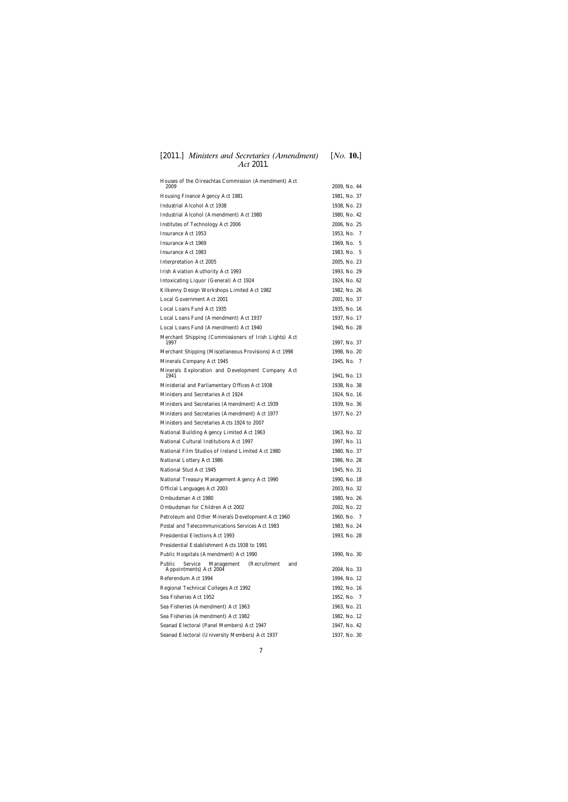| Houses of the Oireachtas Commission (Amendment) Act<br>2009   |                              |
|---------------------------------------------------------------|------------------------------|
| Housing Finance Agency Act 1981                               | 2009, No. 44<br>1981, No. 37 |
| <b>Industrial Alcohol Act 1938</b>                            | 1938, No. 23                 |
| Industrial Alcohol (Amendment) Act 1980                       | 1980, No. 42                 |
| Institutes of Technology Act 2006                             | 2006, No. 25                 |
| Insurance Act 1953                                            | 1953, No. 7                  |
| <b>Insurance Act 1969</b>                                     | 1969, No. 5                  |
| <b>Insurance Act 1983</b>                                     | 1983, No. 5                  |
| Interpretation Act 2005                                       | 2005, No. 23                 |
| <b>Irish Aviation Authority Act 1993</b>                      | 1993, No. 29                 |
| Intoxicating Liquor (General) Act 1924                        | 1924, No. 62                 |
| Kilkenny Design Workshops Limited Act 1982                    | 1982, No. 26                 |
| Local Government Act 2001                                     | 2001, No. 37                 |
| Local Loans Fund Act 1935                                     | 1935, No. 16                 |
| Local Loans Fund (Amendment) Act 1937                         | 1937, No. 17                 |
| Local Loans Fund (Amendment) Act 1940                         |                              |
|                                                               | 1940, No. 28                 |
| Merchant Shipping (Commissioners of Irish Lights) Act<br>1997 | 1997, No. 37                 |
| Merchant Shipping (Miscellaneous Provisions) Act 1998         | 1998, No. 20                 |
| Minerals Company Act 1945                                     | 1945, No. 7                  |
| Minerals Exploration and Development Company Act<br>1941      | 1941, No. 13                 |
| Ministerial and Parliamentary Offices Act 1938                | 1938, No. 38                 |
| Ministers and Secretaries Act 1924                            | 1924, No. 16                 |
| Ministers and Secretaries (Amendment) Act 1939                | 1939, No. 36                 |
| Ministers and Secretaries (Amendment) Act 1977                | 1977, No. 27                 |
| Ministers and Secretaries Acts 1924 to 2007                   |                              |
| National Building Agency Limited Act 1963                     | 1963, No. 32                 |
| <b>National Cultural Institutions Act 1997</b>                | 1997, No. 11                 |
| National Film Studios of Ireland Limited Act 1980             | 1980, No. 37                 |
| National Lottery Act 1986                                     | 1986, No. 28                 |
| National Stud Act 1945                                        | 1945, No. 31                 |
| National Treasury Management Agency Act 1990                  | 1990, No. 18                 |
| Official Languages Act 2003                                   | 2003, No. 32                 |
| Ombudsman Act 1980                                            | 1980, No. 26                 |
| Ombudsman for Children Act 2002                               | 2002, No. 22                 |
| Petroleum and Other Minerals Development Act 1960             | 1960, No. 7                  |
| Postal and Telecommunications Services Act 1983               | 1983, No. 24                 |
| <b>Presidential Elections Act 1993</b>                        | 1993, No. 28                 |
| Presidential Establishment Acts 1938 to 1991                  |                              |
| Public Hospitals (Amendment) Act 1990                         | 1990, No. 30                 |
| Public<br>Management<br>(Recruitment)<br>and<br>Service       |                              |
| Appointments) Act 2004                                        | 2004, No. 33                 |
| Referendum Act 1994                                           | 1994, No. 12                 |
| Regional Technical Colleges Act 1992                          | 1992, No. 16                 |
| Sea Fisheries Act 1952                                        | 1952, No. 7                  |
| Sea Fisheries (Amendment) Act 1963                            | 1963, No. 21                 |
| Sea Fisheries (Amendment) Act 1982                            | 1982, No. 12                 |
| Seanad Electoral (Panel Members) Act 1947                     | 1947, No. 42                 |
| Seanad Electoral (University Members) Act 1937                | 1937, No. 30                 |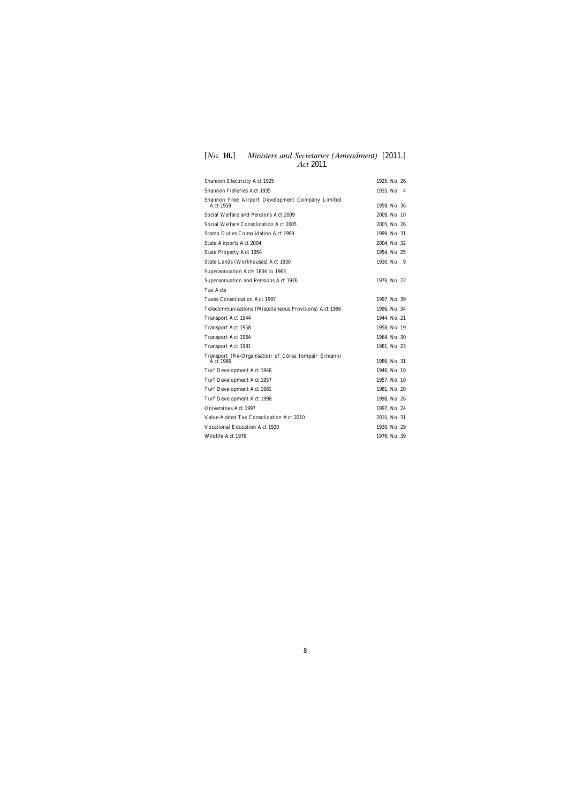| <b>Shannon Electricity Act 1925</b>                              | 1925, No. 26 |
|------------------------------------------------------------------|--------------|
| <b>Shannon Fisheries Act 1935</b>                                | 1935, No. 4  |
| Shannon Free Airport Development Company Limited<br>Act 1959     | 1959, No. 36 |
| Social Welfare and Pensions Act 2009                             | 2009, No. 10 |
| Social Welfare Consolidation Act 2005                            | 2005, No. 26 |
| <b>Stamp Duties Consolidation Act 1999</b>                       | 1999, No. 31 |
| <b>State Airports Act 2004</b>                                   | 2004, No. 32 |
| <b>State Property Act 1954</b>                                   | 1954, No. 25 |
| State Lands (Workhouses) Act 1930                                | 1930, No. 9  |
| Superannuation Acts 1834 to 1963                                 |              |
| Superannuation and Pensions Act 1976                             | 1976, No. 22 |
| <b>Tax Acts</b>                                                  |              |
| <b>Taxes Consolidation Act 1997</b>                              | 1997, No. 39 |
| Telecommunications (Miscellaneous Provisions) Act 1996           | 1996, No. 34 |
| <b>Transport Act 1944</b>                                        | 1944, No. 21 |
| <b>Transport Act 1958</b>                                        | 1958, No. 19 |
| <b>Transport Act 1964</b>                                        | 1964, No. 30 |
| <b>Transport Act 1981</b>                                        | 1981, No. 23 |
| Transport (Re-Organisation of Córas Iompair Éireann)<br>Act 1986 | 1986, No. 31 |
| Turf Development Act 1946                                        | 1946, No. 10 |
| Turf Development Act 1957                                        | 1957, No. 10 |
| Turf Development Act 1981                                        | 1981, No. 20 |
| Turf Development Act 1998                                        | 1998, No. 26 |
| Universities Act 1997                                            | 1997, No. 24 |
| Value-Added Tax Consolidation Act 2010                           | 2010, No. 31 |
| <b>Vocational Education Act 1930</b>                             | 1930, No. 29 |
| Wildlife Act 1976                                                | 1976, No. 39 |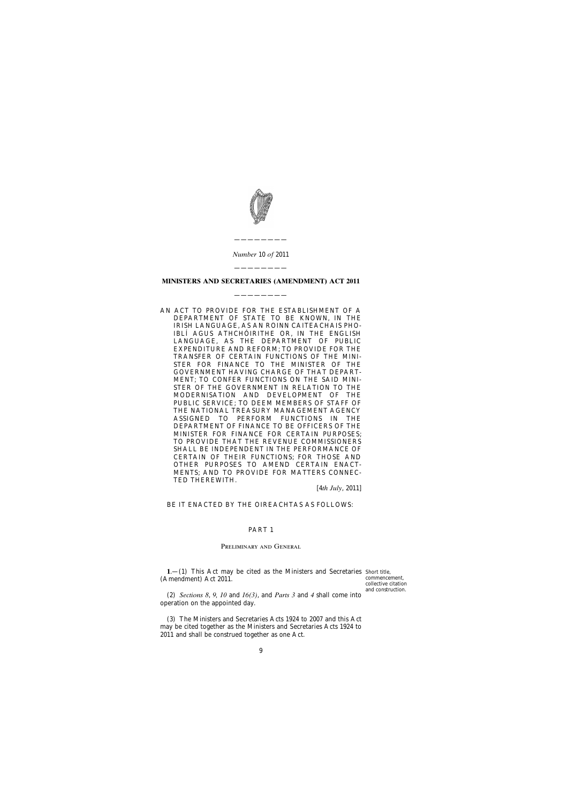

*Number* 10 *of* 2011

————————

# <span id="page-8-0"></span>———————— **MINISTERS AND SECRETARIES (AMENDMENT) ACT 2011**

————————

AN ACT TO PROVIDE FOR THE ESTABLISHMENT OF A DEPARTMENT OF STATE TO BE KNOWN, IN THE IRISH LANGUAGE, AS AN ROINN CAITEACHAIS PHO-IBLÍ AGUS ATHCHÓIRITHE OR, IN THE ENGLISH LANGUAGE, AS THE DEPARTMENT OF PUBLIC EXPENDITURE AND REFORM; TO PROVIDE FOR THE TRANSFER OF CERTAIN FUNCTIONS OF THE MINI-STER FOR FINANCE TO THE MINISTER OF THE GOVERNMENT HAVING CHARGE OF THAT DEPART-MENT; TO CONFER FUNCTIONS ON THE SAID MINI-STER OF THE GOVERNMENT IN RELATION TO THE MODERNISATION AND DEVELOPMENT OF THE PUBLIC SERVICE; TO DEEM MEMBERS OF STAFF OF THE NATIONAL TREASURY MANAGEMENT AGENCY ASSIGNED TO PERFORM FUNCTIONS IN THE DEPARTMENT OF FINANCE TO BE OFFICERS OF THE MINISTER FOR FINANCE FOR CERTAIN PURPOSES; TO PROVIDE THAT THE REVENUE COMMISSIONERS SHALL BE INDEPENDENT IN THE PERFORMANCE OF CERTAIN OF THEIR FUNCTIONS; FOR THOSE AND OTHER PURPOSES TO AMEND CERTAIN ENACT-MENTS; AND TO PROVIDE FOR MATTERS CONNEC-TED THEREWITH.

[4*th July*, 2011]

### BE IT ENACTED BY THE OIREACHTAS AS FOLLOWS:

#### PART 1

#### Preliminary and General

**1**.—(1) This Act may be cited as the Ministers and Secretaries Short title, (Amendment) Act 2011.

commencement, collective citation and construction.

(2) *Sections 8*, *9, 10* and *16(3)*, and *Parts 3* and *4* shall come into operation on the appointed day.

(3) The Ministers and Secretaries Acts 1924 to 2007 and this Act may be cited together as the Ministers and Secretaries Acts 1924 to 2011 and shall be construed together as one Act.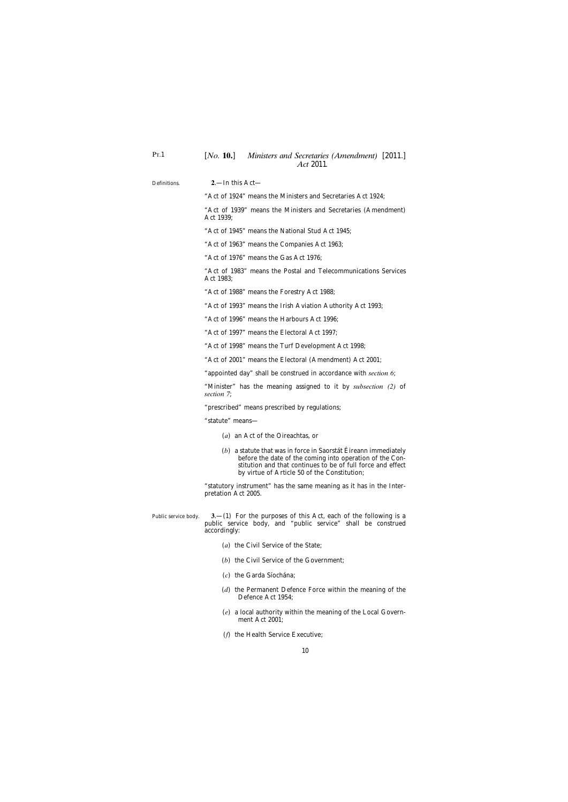<span id="page-9-0"></span>P<sub>T.1</sub>

| Definitions.         | $2$ —In this Act—                                                                                                                                                                                                                          |
|----------------------|--------------------------------------------------------------------------------------------------------------------------------------------------------------------------------------------------------------------------------------------|
|                      | "Act of 1924" means the Ministers and Secretaries Act 1924;                                                                                                                                                                                |
|                      | "Act of 1939" means the Ministers and Secretaries (Amendment)<br>Act 1939:                                                                                                                                                                 |
|                      | "Act of 1945" means the National Stud Act 1945;                                                                                                                                                                                            |
|                      | "Act of 1963" means the Companies Act 1963;                                                                                                                                                                                                |
|                      | "Act of 1976" means the Gas Act 1976;                                                                                                                                                                                                      |
|                      | "Act of 1983" means the Postal and Telecommunications Services<br>Act 1983;                                                                                                                                                                |
|                      | "Act of 1988" means the Forestry Act 1988;                                                                                                                                                                                                 |
|                      | "Act of 1993" means the Irish Aviation Authority Act 1993;                                                                                                                                                                                 |
|                      | "Act of 1996" means the Harbours Act 1996;                                                                                                                                                                                                 |
|                      | "Act of 1997" means the Electoral Act 1997;                                                                                                                                                                                                |
|                      | "Act of 1998" means the Turf Development Act 1998;                                                                                                                                                                                         |
|                      | "Act of 2001" means the Electoral (Amendment) Act 2001;                                                                                                                                                                                    |
|                      | "appointed day" shall be construed in accordance with section 6;                                                                                                                                                                           |
|                      | "Minister" has the meaning assigned to it by <i>subsection</i> (2) of<br>section 7;                                                                                                                                                        |
|                      | "prescribed" means prescribed by regulations;                                                                                                                                                                                              |
|                      | "statute" means-                                                                                                                                                                                                                           |
|                      | (a) an Act of the Oireachtas, or                                                                                                                                                                                                           |
|                      | (b) a statute that was in force in Saorstat Eireann immediately<br>before the date of the coming into operation of the Con-<br>stitution and that continues to be of full force and effect<br>by virtue of Article 50 of the Constitution; |
|                      | "statutory instrument" has the same meaning as it has in the Inter-<br>pretation Act 2005.                                                                                                                                                 |
| Public service body. | $3-1$ ) For the purposes of this Act, each of the following is a<br>public service body, and "public service" shall be construed<br>accordingly:                                                                                           |
|                      | (a) the Civil Service of the State;                                                                                                                                                                                                        |
|                      | (b) the Civil Service of the Government;                                                                                                                                                                                                   |
|                      | (c) the Garda Síochána;                                                                                                                                                                                                                    |
|                      |                                                                                                                                                                                                                                            |

- (*d*) the Permanent Defence Force within the meaning of the Defence Act 1954;
- (*e*) a local authority within the meaning of the Local Government Act 2001;
- (*f*) the Health Service Executive;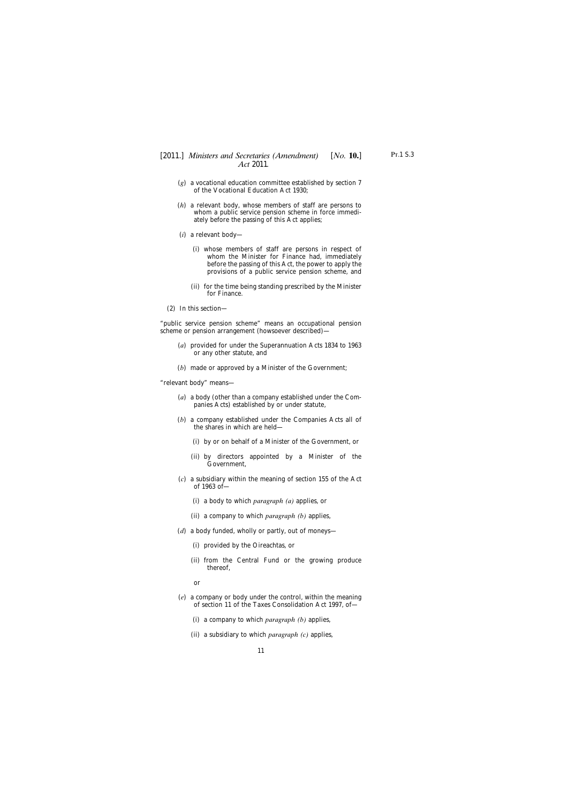- Pt.1 S.3
- (*g*) a vocational education committee established by section 7 of the Vocational Education Act 1930;
- (*h*) a relevant body, whose members of staff are persons to whom a public service pension scheme in force immediately before the passing of this Act applies;
- (*i*) a relevant body—
	- (i) whose members of staff are persons in respect of whom the Minister for Finance had, immediately before the passing of this Act, the power to apply the provisions of a public service pension scheme, and
	- (ii) for the time being standing prescribed by the Minister for Finance.
- (2) In this section—

"public service pension scheme" means an occupational pension scheme or pension arrangement (howsoever described)—

- (*a*) provided for under the Superannuation Acts 1834 to 1963 or any other statute, and
- (*b*) made or approved by a Minister of the Government;

"relevant body" means—

- (*a*) a body (other than a company established under the Companies Acts) established by or under statute,
- (*b*) a company established under the Companies Acts all of the shares in which are held—
	- (i) by or on behalf of a Minister of the Government, or
	- (ii) by directors appointed by a Minister of the Government,
- (*c*) a subsidiary within the meaning of section 155 of the Act of 1963 of—
	- (i) a body to which *paragraph (a)* applies, or
	- (ii) a company to which *paragraph (b)* applies,
- (*d*) a body funded, wholly or partly, out of moneys—
	- (i) provided by the Oireachtas, or
	- (ii) from the Central Fund or the growing produce thereof,
	- or
- (*e*) a company or body under the control, within the meaning of section 11 of the Taxes Consolidation Act 1997, of—
	- (i) a company to which *paragraph (b)* applies,
	- (ii) a subsidiary to which *paragraph (c)* applies,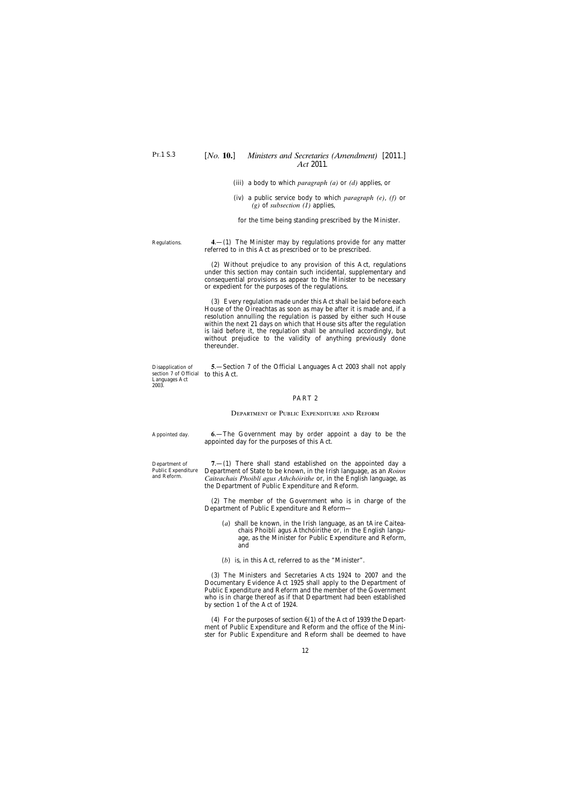<span id="page-11-0"></span>Regulations.

- (iii) a body to which *paragraph (a)* or *(d)* applies, or
- (iv) a public service body to which *paragraph (e)*, *(f)* or *(g)* of *subsection (1)* applies,

for the time being standing prescribed by the Minister.

**4**.—(1) The Minister may by regulations provide for any matter referred to in this Act as prescribed or to be prescribed.

(2) Without prejudice to any provision of this Act, regulations under this section may contain such incidental, supplementary and consequential provisions as appear to the Minister to be necessary or expedient for the purposes of the regulations.

(3) Every regulation made under this Act shall be laid before each House of the Oireachtas as soon as may be after it is made and, if a resolution annulling the regulation is passed by either such House within the next 21 days on which that House sits after the regulation is laid before it, the regulation shall be annulled accordingly, but without prejudice to the validity of anything previously done thereunder.

section 7 of Official to this Act. **5**.—Section 7 of the Official Languages Act 2003 shall not apply

appointed day for the purposes of this Act.

the Department of Public Expenditure and Reform.

#### PART 2

#### Department of Public Expenditure and Reform

**6**.—The Government may by order appoint a day to be the

Appointed day.

Department of Public Expenditure and Reform.

**7**.—(1) There shall stand established on the appointed day a Department of State to be known, in the Irish language, as an *Roinn Caiteachais Phoiblí agus Athchóirithe* or, in the English language, as

(2) The member of the Government who is in charge of the Department of Public Expenditure and Reform—

- (*a*) shall be known, in the Irish language, as an tAire Caiteachais Phoiblí agus Athchóirithe or, in the English language, as the Minister for Public Expenditure and Reform, and
- (*b*) is, in this Act, referred to as the "Minister".

(3) The Ministers and Secretaries Acts 1924 to 2007 and the Documentary Evidence Act 1925 shall apply to the Department of Public Expenditure and Reform and the member of the Government who is in charge thereof as if that Department had been established by section 1 of the Act of 1924.

(4) For the purposes of section 6(1) of the Act of 1939 the Department of Public Expenditure and Reform and the office of the Minister for Public Expenditure and Reform shall be deemed to have

2003.

Disapplication of

Languages Act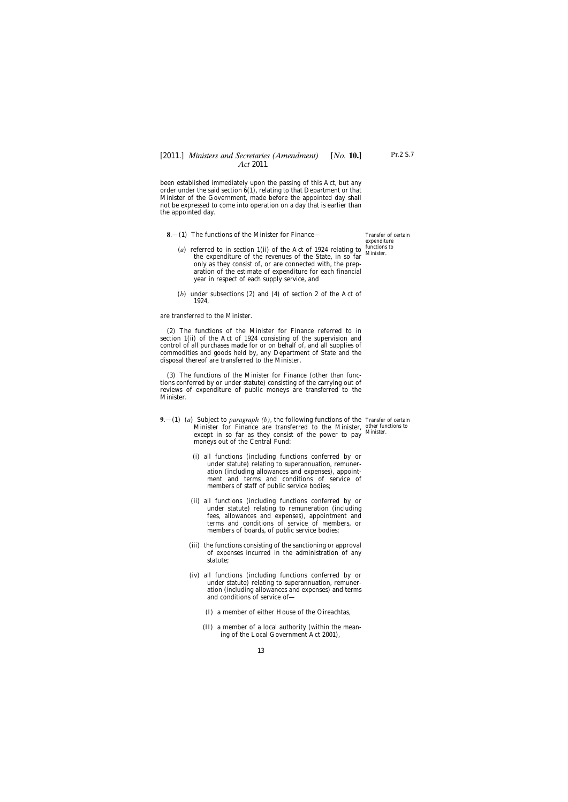<span id="page-12-0"></span>been established immediately upon the passing of this Act, but any order under the said section 6(1), relating to that Department or that Minister of the Government, made before the appointed day shall not be expressed to come into operation on a day that is earlier than the appointed day.

**8**.—(1) The functions of the Minister for Finance—

Transfer of certain expenditure functions to Minister.

- (*a*) referred to in section 1(ii) of the Act of 1924 relating to the expenditure of the revenues of the State, in so far only as they consist of, or are connected with, the preparation of the estimate of expenditure for each financial year in respect of each supply service, and
- (*b*) under subsections (2) and (4) of section 2 of the Act of 1924,

are transferred to the Minister.

(2) The functions of the Minister for Finance referred to in section 1(ii) of the Act of 1924 consisting of the supervision and control of all purchases made for or on behalf of, and all supplies of commodities and goods held by, any Department of State and the disposal thereof are transferred to the Minister.

(3) The functions of the Minister for Finance (other than functions conferred by or under statute) consisting of the carrying out of reviews of expenditure of public moneys are transferred to the Minister.

- **9**.—(1) (*a*) Subject to *paragraph (b)*, the following functions of the Transfer of certain Minister for Finance are transferred to the Minister, other functions to except in so far as they consist of the power to pay Minister. moneys out of the Central Fund:
	- (i) all functions (including functions conferred by or under statute) relating to superannuation, remuneration (including allowances and expenses), appointment and terms and conditions of service of members of staff of public service bodies;
	- (ii) all functions (including functions conferred by or under statute) relating to remuneration (including fees, allowances and expenses), appointment and terms and conditions of service of members, or members of boards, of public service bodies;
	- (iii) the functions consisting of the sanctioning or approval of expenses incurred in the administration of any statute;
	- (iv) all functions (including functions conferred by or under statute) relating to superannuation, remuneration (including allowances and expenses) and terms and conditions of service of—
		- (I) a member of either House of the Oireachtas,
		- (II) a member of a local authority (within the meaning of the Local Government Act 2001),

Pt.2 S.7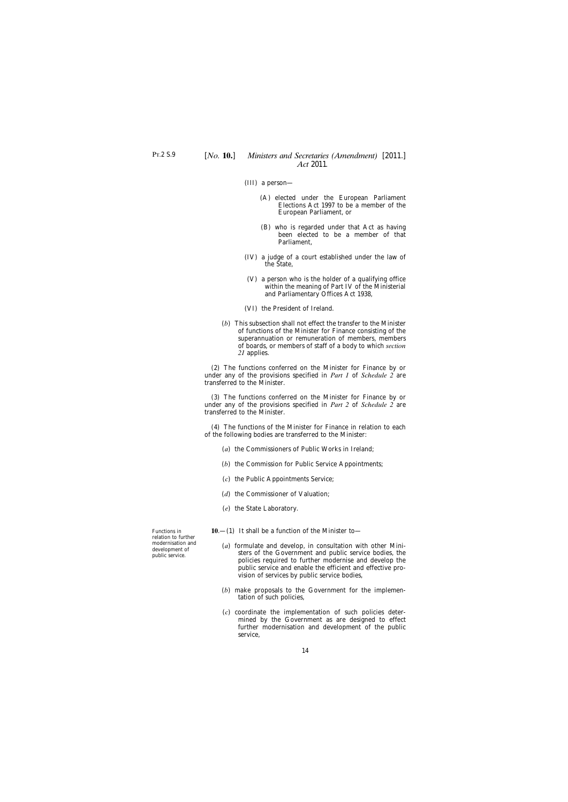- <span id="page-13-0"></span>(III) a person—
	- (A) elected under the European Parliament Elections Act 1997 to be a member of the European Parliament, or
	- (B) who is regarded under that Act as having been elected to be a member of that Parliament,
- (IV) a judge of a court established under the law of the State,
- (V) a person who is the holder of a qualifying office within the meaning of Part IV of the Ministerial and Parliamentary Offices Act 1938,
- (VI) the President of Ireland.
- (*b*) This subsection shall not effect the transfer to the Minister of functions of the Minister for Finance consisting of the superannuation or remuneration of members, members of boards, or members of staff of a body to which *section 21* applies.

(2) The functions conferred on the Minister for Finance by or under any of the provisions specified in *Part 1* of *Schedule 2* are transferred to the Minister.

(3) The functions conferred on the Minister for Finance by or under any of the provisions specified in *Part 2* of *Schedule 2* are transferred to the Minister.

(4) The functions of the Minister for Finance in relation to each of the following bodies are transferred to the Minister:

- (*a*) the Commissioners of Public Works in Ireland;
- (*b*) the Commission for Public Service Appointments;
- (*c*) the Public Appointments Service;
- (*d*) the Commissioner of Valuation;
- (*e*) the State Laboratory.

**10**.—(1) It shall be a function of the Minister to—

- (*a*) formulate and develop, in consultation with other Ministers of the Government and public service bodies, the policies required to further modernise and develop the public service and enable the efficient and effective provision of services by public service bodies,
- (*b*) make proposals to the Government for the implementation of such policies,
- (*c*) coordinate the implementation of such policies determined by the Government as are designed to effect further modernisation and development of the public service,

Functions in relation to further modernisation and development of public service.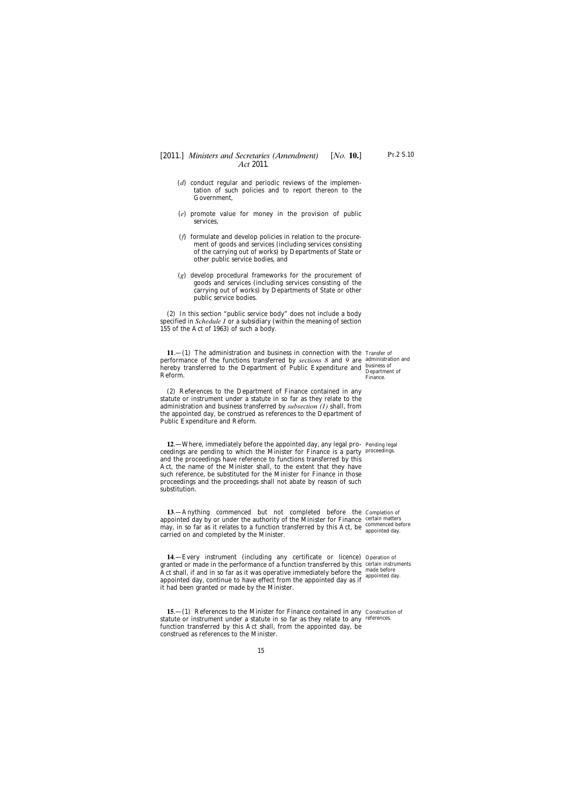- <span id="page-14-0"></span>(*d*) conduct regular and periodic reviews of the implementation of such policies and to report thereon to the Government,
- (*e*) promote value for money in the provision of public services,
- (*f*) formulate and develop policies in relation to the procurement of goods and services (including services consisting of the carrying out of works) by Departments of State or other public service bodies, and
- (*g*) develop procedural frameworks for the procurement of goods and services (including services consisting of the carrying out of works) by Departments of State or other public service bodies.

(2) In this section "public service body" does not include a body specified in *Schedule 1* or a subsidiary (within the meaning of section 155 of the Act of 1963) of such a body.

**11**.—(1) The administration and business in connection with the Transfer of performance of the functions transferred by *sections 8* and *9* are administration and hereby transferred to the Department of Public Expenditure and Reform.

(2) References to the Department of Finance contained in any statute or instrument under a statute in so far as they relate to the administration and business transferred by *subsection (1)* shall, from the appointed day, be construed as references to the Department of Public Expenditure and Reform.

**12**.—Where, immediately before the appointed day, any legal pro-Pending legal ceedings are pending to which the Minister for Finance is a party proceedings. and the proceedings have reference to functions transferred by this Act, the name of the Minister shall, to the extent that they have such reference, be substituted for the Minister for Finance in those proceedings and the proceedings shall not abate by reason of such substitution.

**13**.—Anything commenced but not completed before the Completion of appointed day by or under the authority of the Minister for Finance certain matters  $\frac{1}{2}$  may, in so far as it relates to a function transferred by this Act, be commenced before carried on and completed by the Minister.

**14**.—Every instrument (including any certificate or licence) Operation of granted or made in the performance of a function transferred by this certain instruments Act shall, if and in so far as it was operative immediately before the appointed day, continue to have effect from the appointed day as if it had been granted or made by the Minister.

**15**.—(1) References to the Minister for Finance contained in any Construction of statute or instrument under a statute in so far as they relate to any references.function transferred by this Act shall, from the appointed day, be construed as references to the Minister.

business of Department of Finance.

appointed day.

made before appointed day.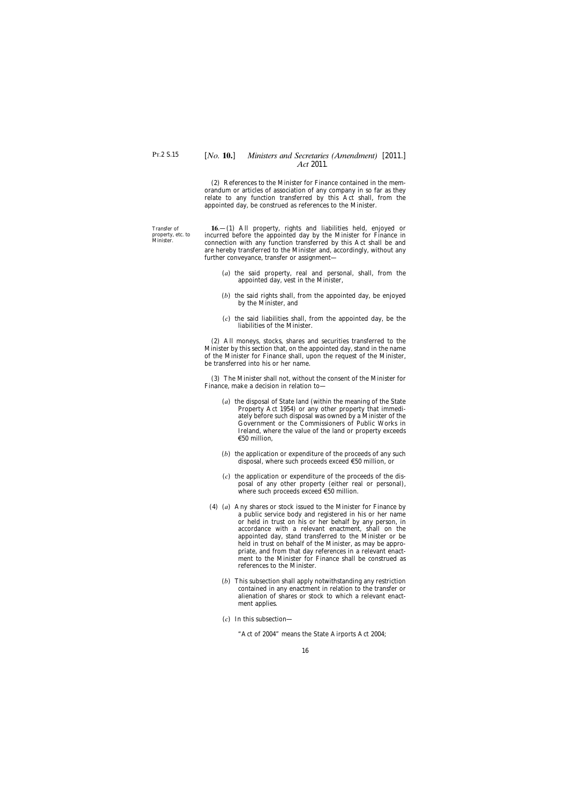Transfer of

Minister.

### <span id="page-15-0"></span>[*No.* **10.**] *Ministers and Secretaries (Amendment)* [2011.] *Act* 2011*.*

(2) References to the Minister for Finance contained in the memorandum or articles of association of any company in so far as they relate to any function transferred by this Act shall, from the appointed day, be construed as references to the Minister.

property, etc. to **16**.—(1) All property, rights and liabilities held, enjoyed or incurred before the appointed day by the Minister for Finance in connection with any function transferred by this Act shall be and are hereby transferred to the Minister and, accordingly, without any further conveyance, transfer or assignment—

- (*a*) the said property, real and personal, shall, from the appointed day, vest in the Minister,
- (*b*) the said rights shall, from the appointed day, be enjoyed by the Minister, and
- (*c*) the said liabilities shall, from the appointed day, be the liabilities of the Minister.

(2) All moneys, stocks, shares and securities transferred to the Minister by this section that, on the appointed day, stand in the name of the Minister for Finance shall, upon the request of the Minister, be transferred into his or her name.

(3) The Minister shall not, without the consent of the Minister for Finance, make a decision in relation to—

- (*a*) the disposal of State land (within the meaning of the State Property Act 1954) or any other property that immediately before such disposal was owned by a Minister of the Government or the Commissioners of Public Works in Ireland, where the value of the land or property exceeds €50 million,
- (*b*) the application or expenditure of the proceeds of any such disposal, where such proceeds exceed €50 million, or
- (*c*) the application or expenditure of the proceeds of the disposal of any other property (either real or personal), where such proceeds exceed €50 million.
- (4) (*a*) Any shares or stock issued to the Minister for Finance by a public service body and registered in his or her name or held in trust on his or her behalf by any person, in accordance with a relevant enactment, shall on the appointed day, stand transferred to the Minister or be held in trust on behalf of the Minister, as may be appropriate, and from that day references in a relevant enactment to the Minister for Finance shall be construed as references to the Minister.
	- (*b*) This subsection shall apply notwithstanding any restriction contained in any enactment in relation to the transfer or alienation of shares or stock to which a relevant enactment applies.
	- (*c*) In this subsection—

"Act of 2004" means the State Airports Act 2004;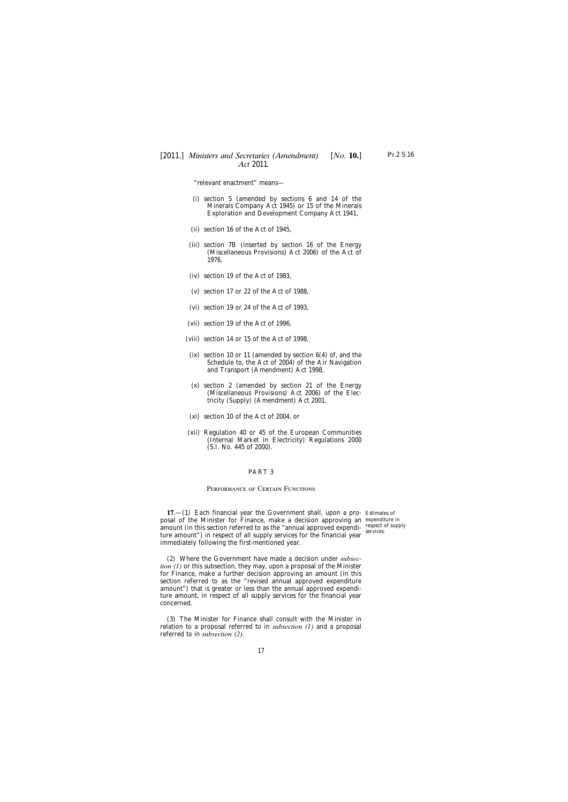<span id="page-16-0"></span>"relevant enactment" means—

- (i) section 5 (amended by sections 6 and 14 of the Minerals Company Act 1945) or 15 of the Minerals Exploration and Development Company Act 1941,
- (ii) section 16 of the Act of 1945,
- (iii) section 7B (inserted by section 16 of the Energy (Miscellaneous Provisions) Act 2006) of the Act of 1976,
- (iv) section 19 of the Act of 1983,
- (v) section 17 or 22 of the Act of 1988,
- (vi) section 19 or 24 of the Act of 1993,
- (vii) section 19 of the Act of 1996,
- (viii) section 14 or 15 of the Act of 1998,
- (ix) section 10 or 11 (amended by section 6(4) of, and the Schedule to, the Act of 2004) of the Air Navigation and Transport (Amendment) Act 1998,
- (x) section 2 (amended by section 21 of the Energy (Miscellaneous Provisions) Act 2006) of the Electricity (Supply) (Amendment) Act 2001,
- (xi) section 10 of the Act of 2004, or
- (xii) Regulation 40 or 45 of the European Communities (Internal Market in Electricity) Regulations 2000 (S.I. No. 445 of 2000).

#### PART 3

#### PERFORMANCE OF CERTAIN FUNCTIONS

**17**.—(1) Each financial year the Government shall, upon a pro-Estimates of posal of the Minister for Finance, make a decision approving an expenditure in amount (in this section referred to as the "annual approved expenditure amount") in respect of all supply services for the financial year immediately following the first-mentioned year.

services.

(2) Where the Government have made a decision under *subsection (1)* or this subsection, they may, upon a proposal of the Minister for Finance, make a further decision approving an amount (in this section referred to as the "revised annual approved expenditure amount") that is greater or less than the annual approved expenditure amount, in respect of all supply services for the financial year concerned.

(3) The Minister for Finance shall consult with the Minister in relation to a proposal referred to in *subsection (1)* and a proposal referred to in *subsection (2)*.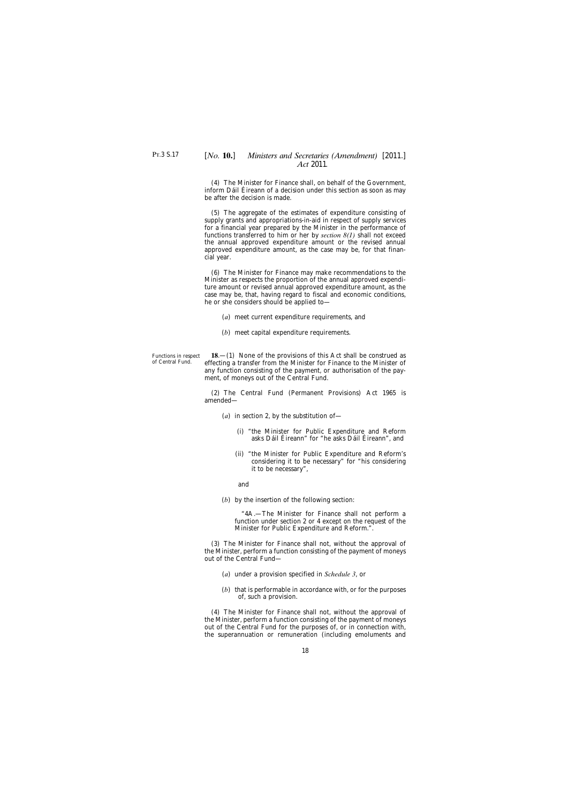<span id="page-17-0"></span>(4) The Minister for Finance shall, on behalf of the Government, inform Dáil Éireann of a decision under this section as soon as may be after the decision is made.

(5) The aggregate of the estimates of expenditure consisting of supply grants and appropriations-in-aid in respect of supply services for a financial year prepared by the Minister in the performance of functions transferred to him or her by *section 8(1)* shall not exceed the annual approved expenditure amount or the revised annual approved expenditure amount, as the case may be, for that financial year.

(6) The Minister for Finance may make recommendations to the Minister as respects the proportion of the annual approved expenditure amount or revised annual approved expenditure amount, as the case may be, that, having regard to fiscal and economic conditions, he or she considers should be applied to—

- (*a*) meet current expenditure requirements, and
- (*b*) meet capital expenditure requirements.

Functions in respect of Central Fund. **18**.—(1) None of the provisions of this Act shall be construed as effecting a transfer from the Minister for Finance to the Minister of any function consisting of the payment, or authorisation of the payment, of moneys out of the Central Fund.

> (2) The Central Fund (Permanent Provisions) Act 1965 is amended—

- (*a*) in section 2, by the substitution of—
	- (i) "the Minister for Public Expenditure and Reform asks Dáil Éireann" for "he asks Dáil Éireann", and
	- (ii) "the Minister for Public Expenditure and Reform's considering it to be necessary" for "his considering it to be necessary",

and

(*b*) by the insertion of the following section:

"4A.—The Minister for Finance shall not perform a function under section 2 or 4 except on the request of the Minister for Public Expenditure and Reform.".

(3) The Minister for Finance shall not, without the approval of the Minister, perform a function consisting of the payment of moneys out of the Central Fund—

- (*a*) under a provision specified in *Schedule 3*, or
- (*b*) that is performable in accordance with, or for the purposes of, such a provision.

(4) The Minister for Finance shall not, without the approval of the Minister, perform a function consisting of the payment of moneys out of the Central Fund for the purposes of, or in connection with, the superannuation or remuneration (including emoluments and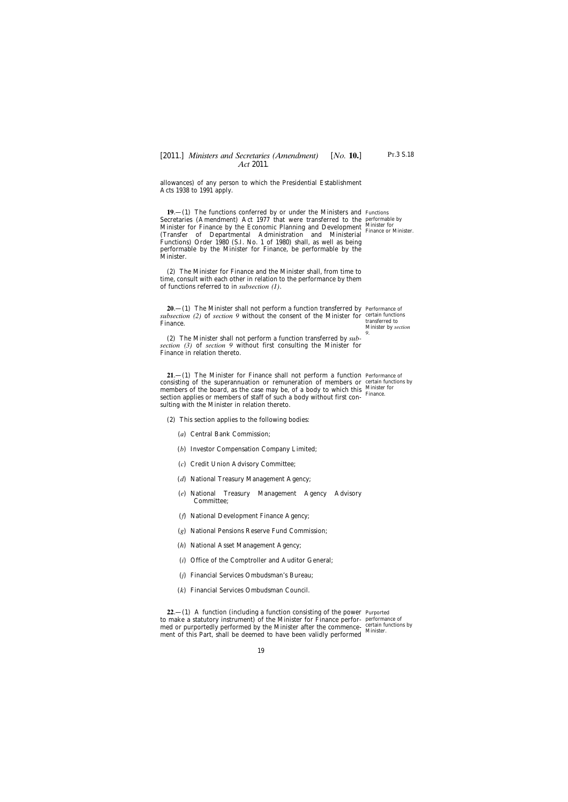<span id="page-18-0"></span>allowances) of any person to which the Presidential Establishment Acts 1938 to 1991 apply.

**19**.—(1) The functions conferred by or under the Ministers and Functions Secretaries (Amendment) Act 1977 that were transferred to the performable by Minister for Finance by the Economic Planning and Development Minister for (Transfer of Departmental Administration and Ministerial Functions) Order 1980 (S.I. No. 1 of 1980) shall, as well as being performable by the Minister for Finance, be performable by the Minister.

(2) The Minister for Finance and the Minister shall, from time to time, consult with each other in relation to the performance by them of functions referred to in *subsection (1)*.

**20**.—(1) The Minister shall not perform a function transferred by Performance of subsection (2) of *section* 9 without the consent of the Minister for certain functions Finance.

(2) The Minister shall not perform a function transferred by *subsection (3)* of *section 9* without first consulting the Minister for Finance in relation thereto.

**21**.—(1) The Minister for Finance shall not perform a function Performance of consisting of the superannuation or remuneration of members or certain functions by members of the board, as the case may be, of a body to which this  $\frac{\text{Minister}}{\text{Einnose}}$ section applies or members of staff of such a body without first consulting with the Minister in relation thereto.

- (2) This section applies to the following bodies:
	- (*a*) Central Bank Commission;
	- (*b*) Investor Compensation Company Limited;
	- (*c*) Credit Union Advisory Committee;
	- (*d*) National Treasury Management Agency;
	- (*e*) National Treasury Management Agency Advisory Committee;
	- (*f*) National Development Finance Agency;
	- (*g*) National Pensions Reserve Fund Commission;
	- (*h*) National Asset Management Agency;
	- (*i*) Office of the Comptroller and Auditor General;
	- (*j*) Financial Services Ombudsman's Bureau;
	- (*k*) Financial Services Ombudsman Council.

**22**.—(1) A function (including a function consisting of the power Purported to make a statutory instrument) of the Minister for Finance perfor-performance of med or purportedly performed by the Minister after the commence- certain functions by ment of this Part, shall be deemed to have been validly performed

Minister.

Finance or Minister.

transferred to Minister by *section 9*.

Finance.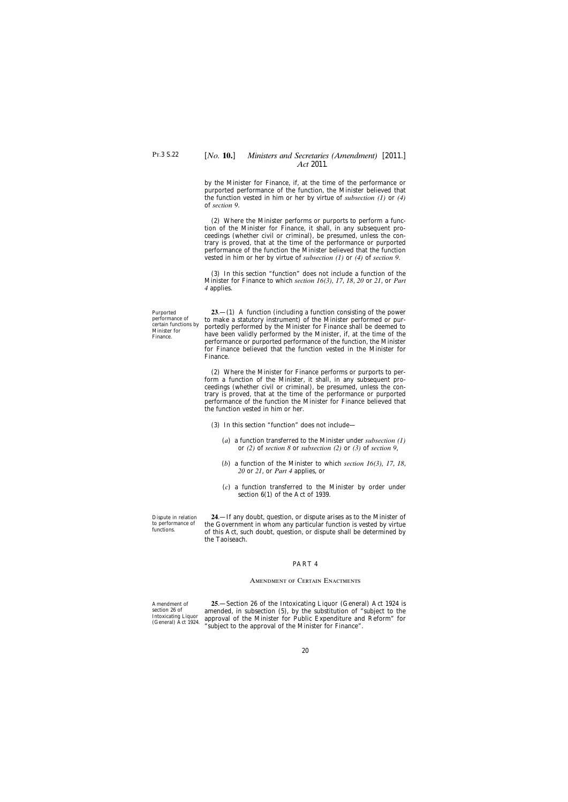<span id="page-19-0"></span>by the Minister for Finance, if, at the time of the performance or purported performance of the function, the Minister believed that the function vested in him or her by virtue of *subsection (1)* or *(4)* of *section 9*.

(2) Where the Minister performs or purports to perform a function of the Minister for Finance, it shall, in any subsequent proceedings (whether civil or criminal), be presumed, unless the contrary is proved, that at the time of the performance or purported performance of the function the Minister believed that the function vested in him or her by virtue of *subsection (1)* or *(4)* of *section 9*.

(3) In this section "function" does not include a function of the Minister for Finance to which *section 16(3), 17*, *18*, *20* or *21*, or *Part 4* applies.

**23**.—(1) A function (including a function consisting of the power to make a statutory instrument) of the Minister performed or purportedly performed by the Minister for Finance shall be deemed to have been validly performed by the Minister, if, at the time of the performance or purported performance of the function, the Minister for Finance believed that the function vested in the Minister for Finance.

(2) Where the Minister for Finance performs or purports to perform a function of the Minister, it shall, in any subsequent proceedings (whether civil or criminal), be presumed, unless the contrary is proved, that at the time of the performance or purported performance of the function the Minister for Finance believed that the function vested in him or her.

- (3) In this section "function" does not include—
	- (*a*) a function transferred to the Minister under *subsection (1)* or *(2)* of *section 8* or *subsection (2)* or *(3)* of *section 9*,
	- (*b*) a function of the Minister to which *section 16(3), 17*, *18*, *20* or *21*, or *Part 4* applies, or
	- (*c*) a function transferred to the Minister by order under section 6(1) of the Act of 1939.

Dispute in relation to performance of functions.

**24**.—If any doubt, question, or dispute arises as to the Minister of the Government in whom any particular function is vested by virtue of this Act, such doubt, question, or dispute shall be determined by the Taoiseach.

#### PART 4

#### Amendment of Certain Enactments

Amendment of section 26 of Intoxicating Liquor (General) Act 1924.

**25**.—Section 26 of the Intoxicating Liquor (General) Act 1924 is amended, in subsection (5), by the substitution of "subject to the approval of the Minister for Public Expenditure and Reform" for "subject to the approval of the Minister for Finance".

Purported performance of certain functions by Minister for Finance.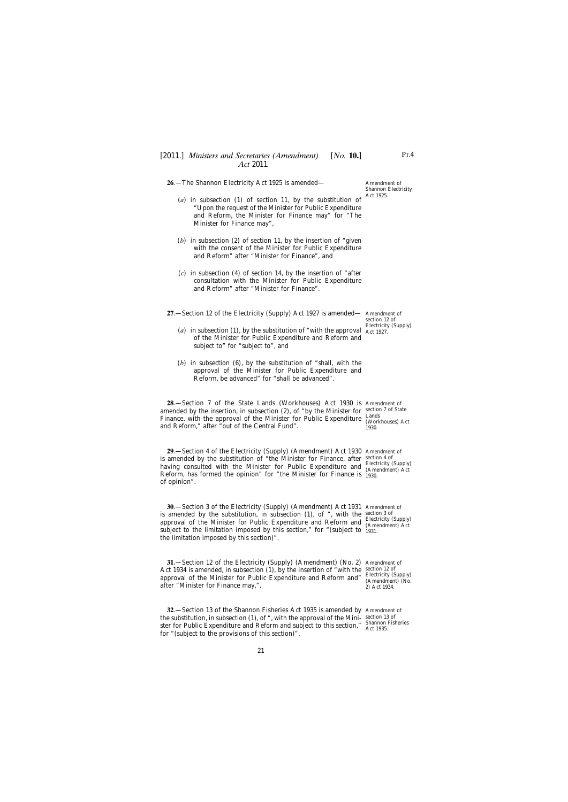<span id="page-20-0"></span>**26**.—The Shannon Electricity Act 1925 is amended—

- (*a*) in subsection (1) of section 11, by the substitution of "Upon the request of the Minister for Public Expenditure and Reform, the Minister for Finance may" for "The Minister for Finance may",
- (*b*) in subsection (2) of section 11, by the insertion of "given with the consent of the Minister for Public Expenditure and Reform" after "Minister for Finance", and
- (*c*) in subsection (4) of section 14, by the insertion of "after consultation with the Minister for Public Expenditure and Reform" after "Minister for Finance".

**27**.—Section 12 of the Electricity (Supply) Act 1927 is amended— Amendment of

- (*a*) in subsection (1), by the substitution of "with the approval  $_{\text{Act}}$  1927. of the Minister for Public Expenditure and Reform and subject to" for "subject to", and
- (*b*) in subsection (6), by the substitution of "shall, with the approval of the Minister for Public Expenditure and Reform, be advanced" for "shall be advanced".

**28**.—Section 7 of the State Lands (Workhouses) Act 1930 is Amendment of amended by the insertion, in subsection (2), of "by the Minister for section 7 of State Finance, with the approval of the Minister for Public Expenditure  $\frac{\text{Lands}}{\text{Work}}$ and Reform," after "out of the Central Fund".

**29**.—Section 4 of the Electricity (Supply) (Amendment) Act 1930 Amendment of is amended by the substitution of "the Minister for Finance, after section 4 of having consulted with the Minister for Public Expenditure and  $\frac{\text{Electricity (Supply)}}{(\text{Amendment) Act}}$ Reform, has formed the opinion" for "the Minister for Finance is 1930. of opinion".

**30**.—Section 3 of the Electricity (Supply) (Amendment) Act 1931 Amendment of is amended by the substitution, in subsection  $(1)$ , of ", with the section 3 of approval of the Minister for Public Expenditure and Reform and  $\frac{\text{Electricity (Supply)}}{(\text{Amendment) Act}}$ subject to the limitation imposed by this section," for "(subject to  $\, \overline{1931} \,$ the limitation imposed by this section)".

**31**.—Section 12 of the Electricity (Supply) (Amendment) (No. 2) Amendment of Act 1934 is amended, in subsection (1), by the insertion of "with the section 12 of approval of the Minister for Public Expenditure and Reform and" after "Minister for Finance may,".

**32**.—Section 13 of the Shannon Fisheries Act 1935 is amended by Amendment of the substitution, in subsection (1), of ", with the approval of the Mini-section 13 of ster for Public Expenditure and Reform and subject to this section," Shannon Fisheries for "(subject to the provisions of this section)".

Amendment of Shannon Electricity Act 1925.

section 12 of Electricity (Supply)

(Workhouses) Act 1930.

(Amendment) Act

(Amendment) Act

Electricity (Supply) (Amendment) (No. 2) Act 1934.

Act 1935.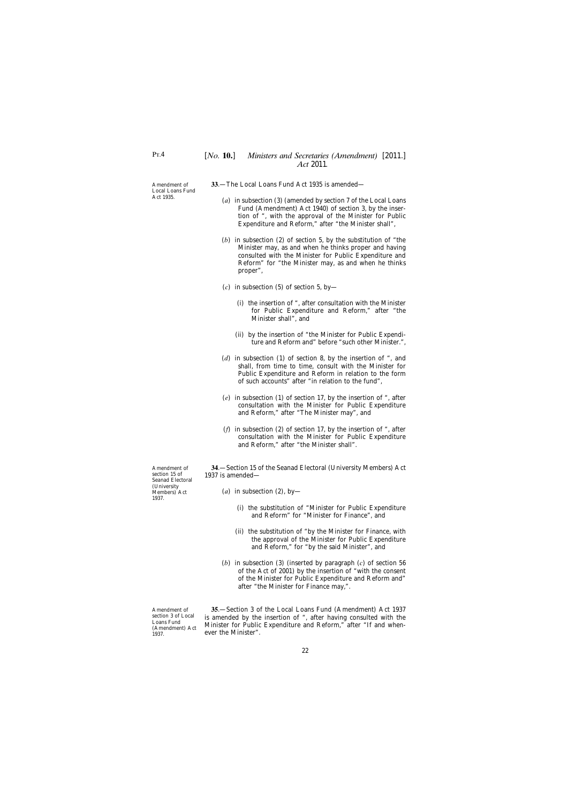<span id="page-21-0"></span>Amendment of Local Loans Fund Act 1935.

- **33**.—The Local Loans Fund Act 1935 is amended—
	- (*a*) in subsection (3) (amended by section 7 of the Local Loans Fund (Amendment) Act 1940) of section 3, by the insertion of ", with the approval of the Minister for Public Expenditure and Reform," after "the Minister shall",
	- (*b*) in subsection (2) of section 5, by the substitution of "the Minister may, as and when he thinks proper and having consulted with the Minister for Public Expenditure and Reform" for "the Minister may, as and when he thinks proper",
	- (*c*) in subsection (5) of section 5, by—
		- (i) the insertion of ", after consultation with the Minister for Public Expenditure and Reform," after "the Minister shall", and
		- (ii) by the insertion of "the Minister for Public Expenditure and Reform and" before "such other Minister.",
	- (*d*) in subsection (1) of section 8, by the insertion of ", and shall, from time to time, consult with the Minister for Public Expenditure and Reform in relation to the form of such accounts" after "in relation to the fund",
	- (*e*) in subsection (1) of section 17, by the insertion of ", after consultation with the Minister for Public Expenditure and Reform," after "The Minister may", and
	- (*f*) in subsection (2) of section 17, by the insertion of ", after consultation with the Minister for Public Expenditure and Reform," after "the Minister shall".

**34**.—Section 15 of the Seanad Electoral (University Members) Act 1937 is amended—

- (*a*) in subsection (2), by-
	- (i) the substitution of "Minister for Public Expenditure and Reform" for "Minister for Finance", and
	- (ii) the substitution of "by the Minister for Finance, with the approval of the Minister for Public Expenditure and Reform," for "by the said Minister", and
- (*b*) in subsection (3) (inserted by paragraph (*c*) of section 56 of the Act of 2001) by the insertion of "with the consent of the Minister for Public Expenditure and Reform and" after "the Minister for Finance may,".

Amendment of section 3 of Local Loans Fund (Amendment) Act 1937.

**35**.—Section 3 of the Local Loans Fund (Amendment) Act 1937 is amended by the insertion of ", after having consulted with the Minister for Public Expenditure and Reform," after "If and whenever the Minister".

Amendment of section 15 of Seanad Electoral (University Members) Act 1937.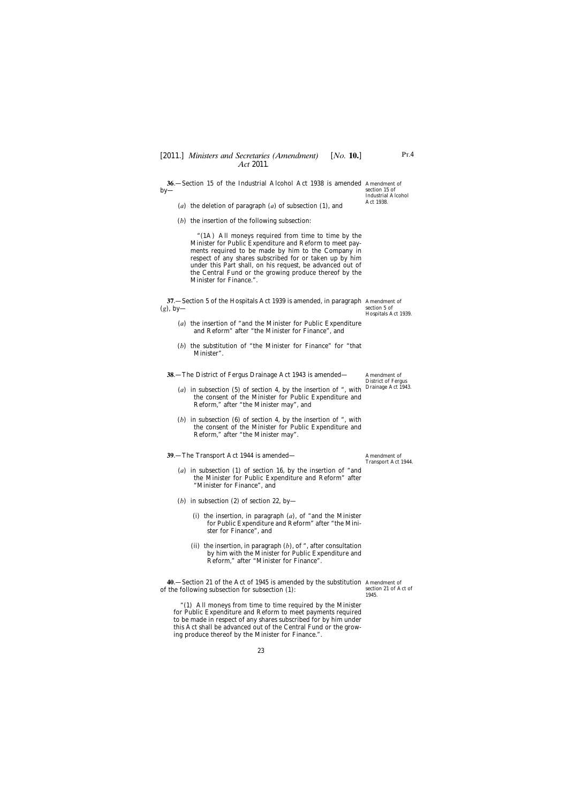P<sub>T.4</sub>

<span id="page-22-0"></span>**36**.—Section 15 of the Industrial Alcohol Act 1938 is amended Amendment of by— (*a*) the deletion of paragraph (*a*) of subsection (1), and (*b*) the insertion of the following subsection: "(1A) All moneys required from time to time by the Minister for Public Expenditure and Reform to meet payments required to be made by him to the Company in respect of any shares subscribed for or taken up by him under this Part shall, on his request, be advanced out of the Central Fund or the growing produce thereof by the Minister for Finance.". **37**.—Section 5 of the Hospitals Act 1939 is amended, in paragraph Amendment of (*g*), by— (*a*) the insertion of "and the Minister for Public Expenditure and Reform" after "the Minister for Finance", and (*b*) the substitution of "the Minister for Finance" for "that Minister". **38**.—The District of Fergus Drainage Act 1943 is amended— (*a*) in subsection (5) of section 4, by the insertion of ", with the consent of the Minister for Public Expenditure and Reform," after "the Minister may", and (*b*) in subsection (6) of section 4, by the insertion of ", with the consent of the Minister for Public Expenditure and Reform," after "the Minister may". **39**.—The Transport Act 1944 is amended— (*a*) in subsection (1) of section 16, by the insertion of "and the Minister for Public Expenditure and Reform" after "Minister for Finance", and (*b*) in subsection (2) of section 22, by— (i) the insertion, in paragraph (*a*), of "and the Minister for Public Expenditure and Reform" after "the Minister for Finance", and (ii) the insertion, in paragraph (*b*), of ", after consultation by him with the Minister for Public Expenditure and Reform," after "Minister for Finance". **40**.—Section 21 of the Act of 1945 is amended by the substitution Amendment of of the following subsection for subsection (1): "(1) All moneys from time to time required by the Minister for Public Expenditure and Reform to meet payments required section 15 of Industrial Alcohol Act 1938. section 5 of Hospitals Act 1939. Amendment of District of Fergus Drainage Act 1943. Amendment of Transport Act 1944. section 21 of Act of 1945.

ing produce thereof by the Minister for Finance.".

to be made in respect of any shares subscribed for by him under this Act shall be advanced out of the Central Fund or the grow-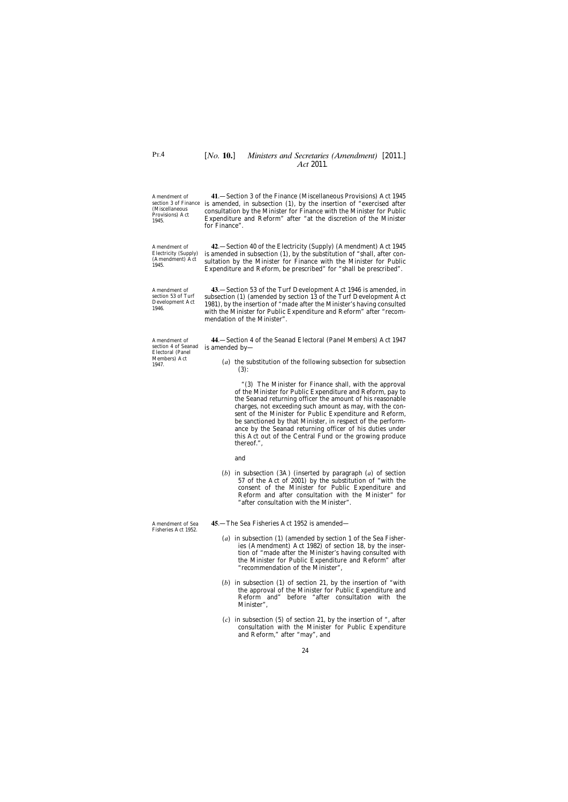<span id="page-23-0"></span>Amendment of section 3 of Finance (Miscellaneous Provisions) Act 1945.

Amendment of Electricity (Supply) (Amendment) Act 1945.

Amendment of section 53 of Turf Development Act 1946.

**41**.—Section 3 of the Finance (Miscellaneous Provisions) Act 1945 is amended, in subsection (1), by the insertion of "exercised after consultation by the Minister for Finance with the Minister for Public Expenditure and Reform" after "at the discretion of the Minister for Finance".

**42**.—Section 40 of the Electricity (Supply) (Amendment) Act 1945 is amended in subsection (1), by the substitution of "shall, after consultation by the Minister for Finance with the Minister for Public Expenditure and Reform, be prescribed" for "shall be prescribed".

**43**.—Section 53 of the Turf Development Act 1946 is amended, in subsection (1) (amended by section 13 of the Turf Development Act 1981), by the insertion of "made after the Minister's having consulted with the Minister for Public Expenditure and Reform" after "recommendation of the Minister".

Amendment of section 4 of Seanad is amended by— Electoral (Panel Members) Act 1947.

**44**.—Section 4 of the Seanad Electoral (Panel Members) Act 1947

(*a*) the substitution of the following subsection for subsection  $(3)$ 

"(3) The Minister for Finance shall, with the approval of the Minister for Public Expenditure and Reform, pay to the Seanad returning officer the amount of his reasonable charges, not exceeding such amount as may, with the consent of the Minister for Public Expenditure and Reform, be sanctioned by that Minister, in respect of the performance by the Seanad returning officer of his duties under this Act out of the Central Fund or the growing produce thereof.",

and

(*b*) in subsection (3A) (inserted by paragraph (*a*) of section 57 of the Act of 2001) by the substitution of "with the consent of the Minister for Public Expenditure and Reform and after consultation with the Minister" for "after consultation with the Minister".

**45**.—The Sea Fisheries Act 1952 is amended—

- (*a*) in subsection (1) (amended by section 1 of the Sea Fisheries (Amendment) Act 1982) of section 18, by the insertion of "made after the Minister's having consulted with the Minister for Public Expenditure and Reform" after "recommendation of the Minister",
- (*b*) in subsection (1) of section 21, by the insertion of "with the approval of the Minister for Public Expenditure and Reform and" before "after consultation with the Minister",
- (*c*) in subsection (5) of section 21, by the insertion of ", after consultation with the Minister for Public Expenditure and Reform," after "may", and

Amendment of Sea Fisheries Act 1952.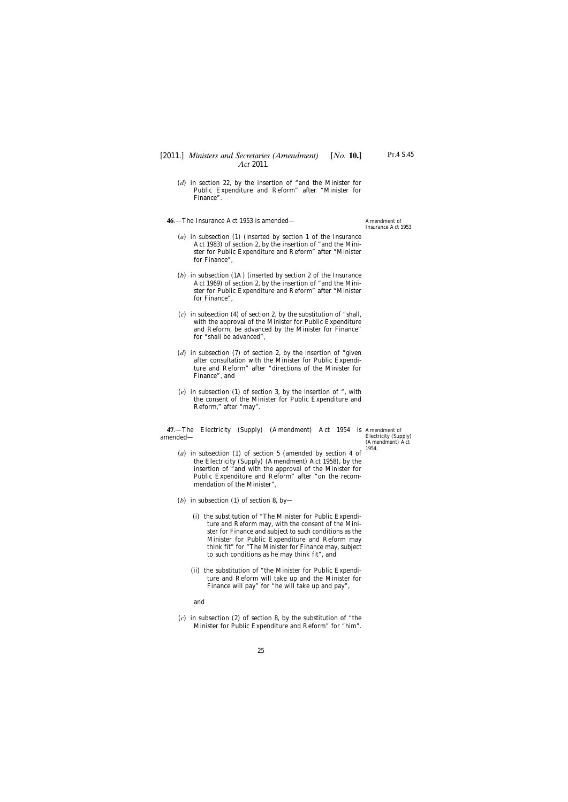- <span id="page-24-0"></span>(*d*) in section 22, by the insertion of "and the Minister for Public Expenditure and Reform" after "Minister for Finance".
- **46**.—The Insurance Act 1953 is amended—

Amendment of Insurance Act 1953.

- (*a*) in subsection (1) (inserted by section 1 of the Insurance Act 1983) of section 2, by the insertion of "and the Minister for Public Expenditure and Reform" after "Minister for Finance",
- (*b*) in subsection (1A) (inserted by section 2 of the Insurance Act 1969) of section 2, by the insertion of "and the Minister for Public Expenditure and Reform" after "Minister for Finance",
- (*c*) in subsection (4) of section 2, by the substitution of "shall, with the approval of the Minister for Public Expenditure and Reform, be advanced by the Minister for Finance" for "shall be advanced",
- (*d*) in subsection (7) of section 2, by the insertion of "given after consultation with the Minister for Public Expenditure and Reform" after "directions of the Minister for Finance", and
- (*e*) in subsection (1) of section 3, by the insertion of ", with the consent of the Minister for Public Expenditure and Reform," after "may".

**47**.—The Electricity (Supply) (Amendment) Act 1954 is Amendment of amended—

Electricity (Supply) (Amendment) Act 1954.

- (*a*) in subsection (1) of section 5 (amended by section 4 of the Electricity (Supply) (Amendment) Act 1958), by the insertion of "and with the approval of the Minister for Public Expenditure and Reform" after "on the recommendation of the Minister",
- (*b*) in subsection (1) of section 8, by—
	- (i) the substitution of "The Minister for Public Expenditure and Reform may, with the consent of the Minister for Finance and subject to such conditions as the Minister for Public Expenditure and Reform may think fit" for "The Minister for Finance may, subject to such conditions as he may think fit", and
	- (ii) the substitution of "the Minister for Public Expenditure and Reform will take up and the Minister for Finance will pay" for "he will take up and pay",

and

(*c*) in subsection (2) of section 8, by the substitution of "the Minister for Public Expenditure and Reform" for "him".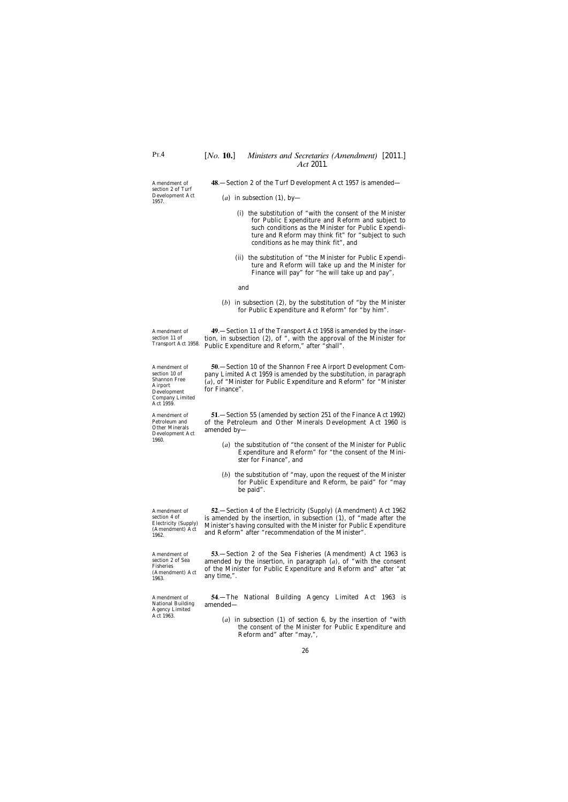<span id="page-25-0"></span>Amendment of section 2 of Turf Development Act 1957.

**48**.—Section 2 of the Turf Development Act 1957 is amended—

- (*a*) in subsection (1), by-
	- (i) the substitution of "with the consent of the Minister for Public Expenditure and Reform and subject to such conditions as the Minister for Public Expenditure and Reform may think fit" for "subject to such conditions as he may think fit", and
	- (ii) the substitution of "the Minister for Public Expenditure and Reform will take up and the Minister for Finance will pay" for "he will take up and pay",
	- and
- (*b*) in subsection (2), by the substitution of "by the Minister for Public Expenditure and Reform" for "by him".

Amendment of section 11 of Transport Act 1958.

Amendment of section 10 of Shannon Free Airport Development Company Limited Act 1959.

Amendment of Petroleum and Other Minerals Development Act 1960.

Amendment of section 4 of Electricity (Supply) (Amendment) Act 1962.

Amendment of section 2 of Sea Fisheries (Amendment) Act 1963.

Amendment of National Building Agency Limited Act 1963.

**49**.—Section 11 of the Transport Act 1958 is amended by the insertion, in subsection (2), of ", with the approval of the Minister for Public Expenditure and Reform," after "shall".

**50**.—Section 10 of the Shannon Free Airport Development Company Limited Act 1959 is amended by the substitution, in paragraph (*a*), of "Minister for Public Expenditure and Reform" for "Minister for Finance".

**51**.—Section 55 (amended by section 251 of the Finance Act 1992) of the Petroleum and Other Minerals Development Act 1960 is amended by—

- (*a*) the substitution of "the consent of the Minister for Public Expenditure and Reform" for "the consent of the Minister for Finance", and
- (*b*) the substitution of "may, upon the request of the Minister for Public Expenditure and Reform, be paid" for "may be paid".

**52**.—Section 4 of the Electricity (Supply) (Amendment) Act 1962 is amended by the insertion, in subsection (1), of "made after the Minister's having consulted with the Minister for Public Expenditure and Reform" after "recommendation of the Minister".

**53**.—Section 2 of the Sea Fisheries (Amendment) Act 1963 is amended by the insertion, in paragraph (*a*), of "with the consent of the Minister for Public Expenditure and Reform and" after "at any time,".

**54**.—The National Building Agency Limited Act 1963 is amended—

(*a*) in subsection (1) of section 6, by the insertion of "with the consent of the Minister for Public Expenditure and Reform and" after "may,",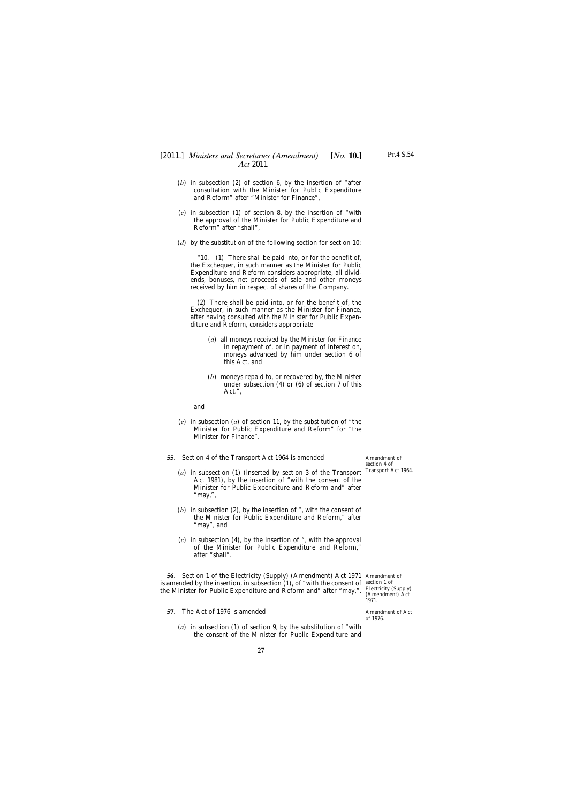- <span id="page-26-0"></span>(*b*) in subsection (2) of section 6, by the insertion of "after consultation with the Minister for Public Expenditure and Reform" after "Minister for Finance",
- (*c*) in subsection (1) of section 8, by the insertion of "with the approval of the Minister for Public Expenditure and Reform" after "shall",
- (*d*) by the substitution of the following section for section 10:

"10.—(1) There shall be paid into, or for the benefit of, the Exchequer, in such manner as the Minister for Public Expenditure and Reform considers appropriate, all dividends, bonuses, net proceeds of sale and other moneys received by him in respect of shares of the Company.

(2) There shall be paid into, or for the benefit of, the Exchequer, in such manner as the Minister for Finance, after having consulted with the Minister for Public Expenditure and Reform, considers appropriate—

- (*a*) all moneys received by the Minister for Finance in repayment of, or in payment of interest on, moneys advanced by him under section 6 of this Act, and
- (*b*) moneys repaid to, or recovered by, the Minister under subsection (4) or (6) of section 7 of this Act.",

and

(*e*) in subsection (*a*) of section 11, by the substitution of "the Minister for Public Expenditure and Reform" for "the Minister for Finance".

**55**.—Section 4 of the Transport Act 1964 is amended—

- (*a*) in subsection (1) (inserted by section 3 of the Transport Act 1981), by the insertion of "with the consent of the Minister for Public Expenditure and Reform and" after "may,",
- (*b*) in subsection (2), by the insertion of ", with the consent of the Minister for Public Expenditure and Reform," after "may", and
- (*c*) in subsection (4), by the insertion of ", with the approval of the Minister for Public Expenditure and Reform," after "shall".

**56**.—Section 1 of the Electricity (Supply) (Amendment) Act 1971 Amendment of is amended by the insertion, in subsection (1), of "with the consent of section 1 of the Minister for Public Expenditure and Reform and" after "may,".

**57**.—The Act of 1976 is amended—

(*a*) in subsection (1) of section 9, by the substitution of "with the consent of the Minister for Public Expenditure and

Amendment of section 4 of Transport Act 1964.

Electricity (Supply) (Amendment) Act 1971.

Amendment of Act of 1976.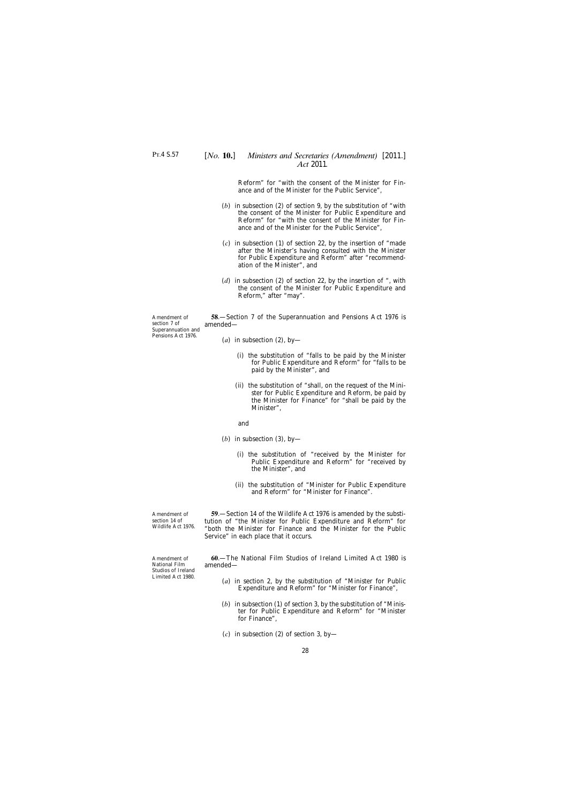Amendment of section 7 of Superannuation and Pensions Act 1976.

Reform" for "with the consent of the Minister for Finance and of the Minister for the Public Service",

- <span id="page-27-0"></span>(*b*) in subsection (2) of section 9, by the substitution of "with the consent of the Minister for Public Expenditure and Reform" for "with the consent of the Minister for Finance and of the Minister for the Public Service",
- (*c*) in subsection (1) of section 22, by the insertion of "made after the Minister's having consulted with the Minister for Public Expenditure and Reform" after "recommendation of the Minister", and
- (*d*) in subsection (2) of section 22, by the insertion of ", with the consent of the Minister for Public Expenditure and Reform," after "may".

**58**.—Section 7 of the Superannuation and Pensions Act 1976 is amended—

(*a*) in subsection (2), by-

- (i) the substitution of "falls to be paid by the Minister for Public Expenditure and Reform" for "falls to be paid by the Minister", and
- (ii) the substitution of "shall, on the request of the Minister for Public Expenditure and Reform, be paid by the Minister for Finance" for "shall be paid by the Minister",
- and
- (*b*) in subsection (3), by-
	- (i) the substitution of "received by the Minister for Public Expenditure and Reform" for "received by the Minister", and
	- (ii) the substitution of "Minister for Public Expenditure and Reform" for "Minister for Finance".

Amendment of section 14 of Wildlife Act 1976.

Amendment of National Film Studios of Ireland Limited Act 1980.

**59**.—Section 14 of the Wildlife Act 1976 is amended by the substitution of "the Minister for Public Expenditure and Reform" for "both the Minister for Finance and the Minister for the Public Service" in each place that it occurs.

**60**.—The National Film Studios of Ireland Limited Act 1980 is amended—

- (*a*) in section 2, by the substitution of "Minister for Public Expenditure and Reform" for "Minister for Finance",
- (*b*) in subsection (1) of section 3, by the substitution of "Minister for Public Expenditure and Reform" for "Minister for Finance",
- (*c*) in subsection (2) of section 3, by—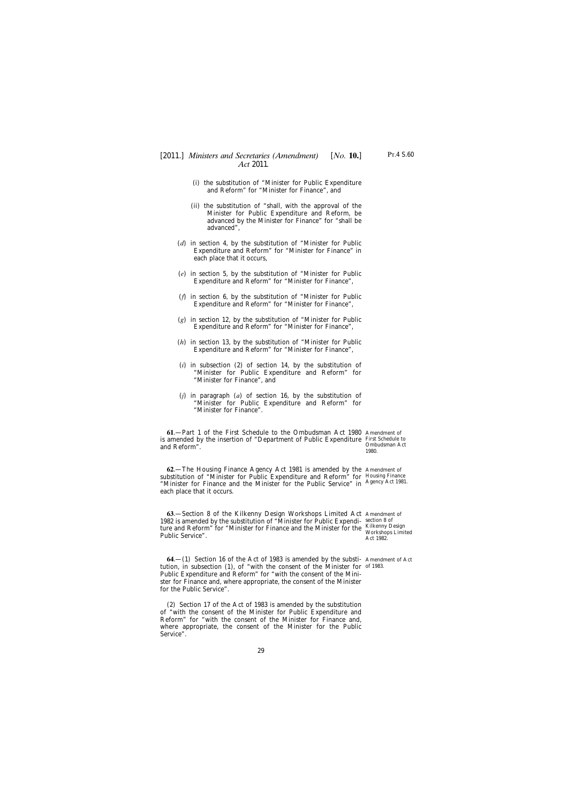- <span id="page-28-0"></span>(i) the substitution of "Minister for Public Expenditure and Reform" for "Minister for Finance", and
- (ii) the substitution of "shall, with the approval of the Minister for Public Expenditure and Reform, be advanced by the Minister for Finance" for "shall be advanced",
- (*d*) in section 4, by the substitution of "Minister for Public Expenditure and Reform" for "Minister for Finance" in each place that it occurs,
- (*e*) in section 5, by the substitution of "Minister for Public Expenditure and Reform" for "Minister for Finance",
- (*f*) in section 6, by the substitution of "Minister for Public Expenditure and Reform" for "Minister for Finance",
- (*g*) in section 12, by the substitution of "Minister for Public Expenditure and Reform" for "Minister for Finance",
- (*h*) in section 13, by the substitution of "Minister for Public Expenditure and Reform" for "Minister for Finance",
- (*i*) in subsection (2) of section 14, by the substitution of "Minister for Public Expenditure and Reform" for "Minister for Finance", and
- (*j*) in paragraph (*a*) of section 16, by the substitution of "Minister for Public Expenditure and Reform" for "Minister for Finance".

**61**.—Part 1 of the First Schedule to the Ombudsman Act 1980 Amendment of is amended by the insertion of "Department of Public Expenditure First Schedule to and Reform".

**62**.—The Housing Finance Agency Act 1981 is amended by the Amendment of substitution of "Minister for Public Expenditure and Reform" for Housing Finance "Minister for Finance and the Minister for the Public Service" in Agency Act 1981. each place that it occurs.

**63**.—Section 8 of the Kilkenny Design Workshops Limited Act Amendment of 1982 is amended by the substitution of "Minister for Public Expendi-section 8 of ture and Reform" for "Minister for Finance and the Minister for the Kilkenny Design Public Service".

**64**.—(1) Section 16 of the Act of 1983 is amended by the substi-Amendment of Act tution, in subsection (1), of "with the consent of the Minister for of 1983.Public Expenditure and Reform" for "with the consent of the Minister for Finance and, where appropriate, the consent of the Minister for the Public Service".

(2) Section 17 of the Act of 1983 is amended by the substitution of "with the consent of the Minister for Public Expenditure and Reform" for "with the consent of the Minister for Finance and, where appropriate, the consent of the Minister for the Public Service".

Ombudsman Act 1980.

Workshops Limited Act 1982.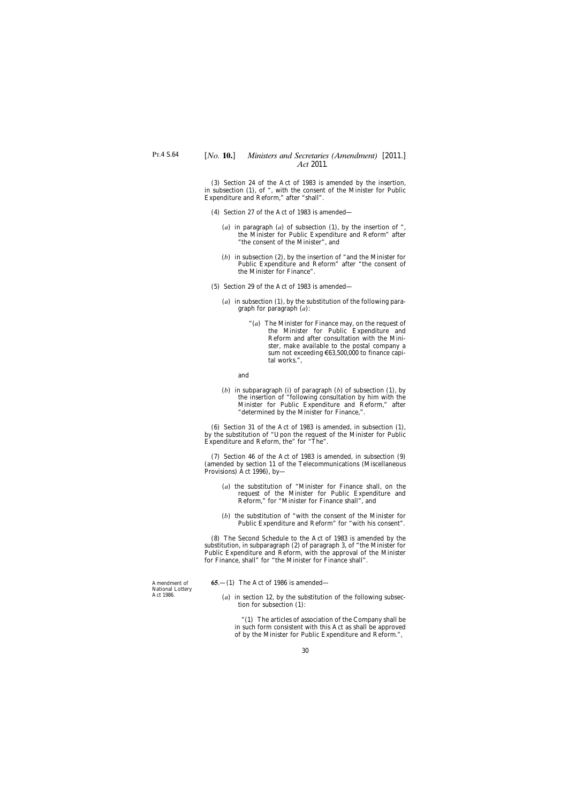<span id="page-29-0"></span>(3) Section 24 of the Act of 1983 is amended by the insertion, in subsection (1), of ", with the consent of the Minister for Public Expenditure and Reform," after "shall".

- (4) Section 27 of the Act of 1983 is amended—
	- (*a*) in paragraph (*a*) of subsection (1), by the insertion of ", the Minister for Public Expenditure and Reform" after "the consent of the Minister", and
	- (*b*) in subsection (2), by the insertion of "and the Minister for Public Expenditure and Reform" after "the consent of the Minister for Finance".
- (5) Section 29 of the Act of 1983 is amended—
	- (*a*) in subsection (1), by the substitution of the following paragraph for paragraph (*a*):
		- "(*a*) The Minister for Finance may, on the request of the Minister for Public Expenditure and Reform and after consultation with the Minister, make available to the postal company a sum not exceeding €63,500,000 to finance capital works.",

and

(*b*) in subparagraph (i) of paragraph (*b*) of subsection (1), by the insertion of "following consultation by him with the Minister for Public Expenditure and Reform," after "determined by the Minister for Finance,".

(6) Section 31 of the Act of 1983 is amended, in subsection (1), by the substitution of "Upon the request of the Minister for Public Expenditure and Reform, the" for "The".

(7) Section 46 of the Act of 1983 is amended, in subsection (9) (amended by section 11 of the Telecommunications (Miscellaneous Provisions) Act 1996), by—

- (*a*) the substitution of "Minister for Finance shall, on the request of the Minister for Public Expenditure and Reform," for "Minister for Finance shall", and
- (*b*) the substitution of "with the consent of the Minister for Public Expenditure and Reform" for "with his consent".

(8) The Second Schedule to the Act of 1983 is amended by the substitution, in subparagraph (2) of paragraph 3, of "the Minister for Public Expenditure and Reform, with the approval of the Minister for Finance, shall" for "the Minister for Finance shall".

**65**.—(1) The Act of 1986 is amended—

(*a*) in section 12, by the substitution of the following subsection for subsection (1):

"(1) The articles of association of the Company shall be in such form consistent with this Act as shall be approved of by the Minister for Public Expenditure and Reform.",

Amendment of National Lottery Act 1986.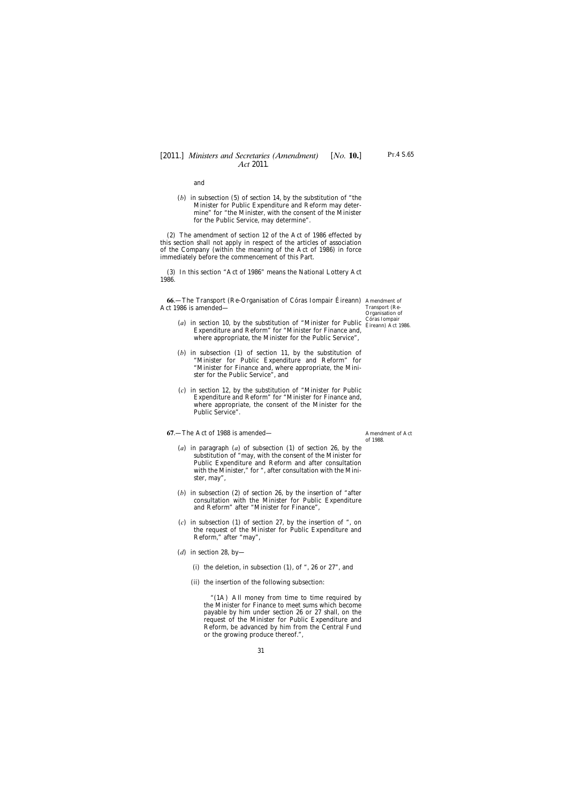Pt.4 S.65

and

<span id="page-30-0"></span>(*b*) in subsection (5) of section 14, by the substitution of "the Minister for Public Expenditure and Reform may determine" for "the Minister, with the consent of the Minister for the Public Service, may determine".

(2) The amendment of section 12 of the Act of 1986 effected by this section shall not apply in respect of the articles of association of the Company (within the meaning of the Act of 1986) in force immediately before the commencement of this Part.

(3) In this section "Act of 1986" means the National Lottery Act 1986.

**66**.—The Transport (Re-Organisation of Córas Iompair Éireann) Amendment of Act 1986 is amended—

- (*a*) in section 10, by the substitution of "Minister for Public Éireann) Act 1986. Expenditure and Reform" for "Minister for Finance and, where appropriate, the Minister for the Public Service",
- (*b*) in subsection (1) of section 11, by the substitution of "Minister for Public Expenditure and Reform" for "Minister for Finance and, where appropriate, the Minister for the Public Service", and
- (*c*) in section 12, by the substitution of "Minister for Public Expenditure and Reform" for "Minister for Finance and, where appropriate, the consent of the Minister for the Public Service".

**67**.—The Act of 1988 is amended—

- (*a*) in paragraph (*a*) of subsection (1) of section 26, by the substitution of "may, with the consent of the Minister for Public Expenditure and Reform and after consultation with the Minister," for ", after consultation with the Minister, may",
- (*b*) in subsection (2) of section 26, by the insertion of "after consultation with the Minister for Public Expenditure and Reform" after "Minister for Finance",
- (*c*) in subsection (1) of section 27, by the insertion of ", on the request of the Minister for Public Expenditure and Reform," after "may",
- (*d*) in section 28, by—
	- (i) the deletion, in subsection (1), of ", 26 or 27", and
	- (ii) the insertion of the following subsection:

"(1A) All money from time to time required by the Minister for Finance to meet sums which become payable by him under section 26 or 27 shall, on the request of the Minister for Public Expenditure and Reform, be advanced by him from the Central Fund or the growing produce thereof.",

Amendment of Act of 1988.

Transport (Re-Organisation of Córas Iompair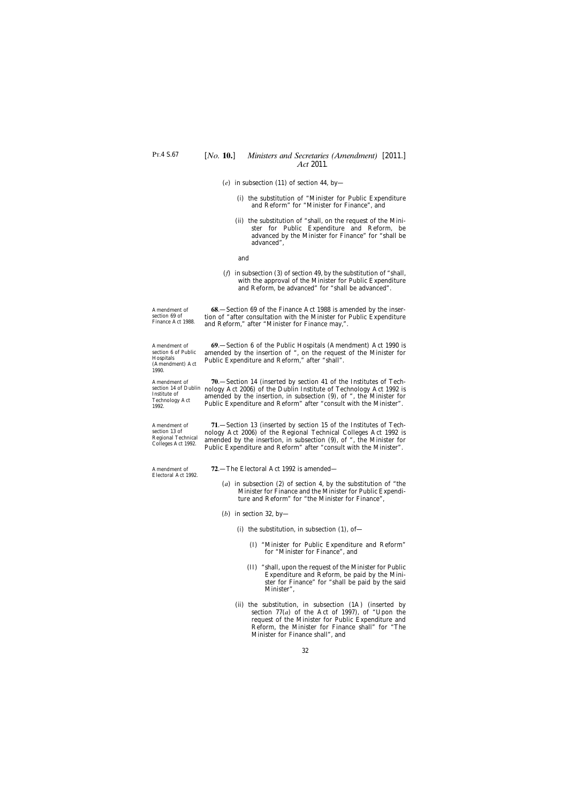- <span id="page-31-0"></span>(*e*) in subsection (11) of section 44, by—
	- (i) the substitution of "Minister for Public Expenditure and Reform" for "Minister for Finance", and
	- (ii) the substitution of "shall, on the request of the Minister for Public Expenditure and Reform, be advanced by the Minister for Finance" for "shall be advanced",

and

(*f*) in subsection (3) of section 49, by the substitution of "shall, with the approval of the Minister for Public Expenditure and Reform, be advanced" for "shall be advanced".

**68**.—Section 69 of the Finance Act 1988 is amended by the insertion of "after consultation with the Minister for Public Expenditure and Reform," after "Minister for Finance may,".

**69**.—Section 6 of the Public Hospitals (Amendment) Act 1990 is amended by the insertion of ", on the request of the Minister for Public Expenditure and Reform," after "shall".

**70**.—Section 14 (inserted by section 41 of the Institutes of Technology Act 2006) of the Dublin Institute of Technology Act 1992 is amended by the insertion, in subsection (9), of ", the Minister for Public Expenditure and Reform" after "consult with the Minister".

**71**.—Section 13 (inserted by section 15 of the Institutes of Technology Act 2006) of the Regional Technical Colleges Act 1992 is amended by the insertion, in subsection (9), of ", the Minister for Public Expenditure and Reform" after "consult with the Minister".

**72**.—The Electoral Act 1992 is amended—

- (*a*) in subsection (2) of section 4, by the substitution of "the Minister for Finance and the Minister for Public Expenditure and Reform" for "the Minister for Finance",
- (*b*) in section 32, by—
	- (i) the substitution, in subsection  $(1)$ , of-
		- (I) "Minister for Public Expenditure and Reform" for "Minister for Finance", and
		- (II) "shall, upon the request of the Minister for Public Expenditure and Reform, be paid by the Minister for Finance" for "shall be paid by the said Minister",
	- (ii) the substitution, in subsection (1A) (inserted by section 77(*a*) of the Act of 1997), of "Upon the request of the Minister for Public Expenditure and Reform, the Minister for Finance shall" for "The Minister for Finance shall", and

Amendment of section 6 of Public Hospitals

(Amendment) Act

1990.

Amendment of section 69 of Finance Act 1988.

Amendment of section 14 of Dublin Institute of Technology Act 1992.

Amendment of section 13 of Regional Technical Colleges Act 1992.

Amendment of Electoral Act 1992.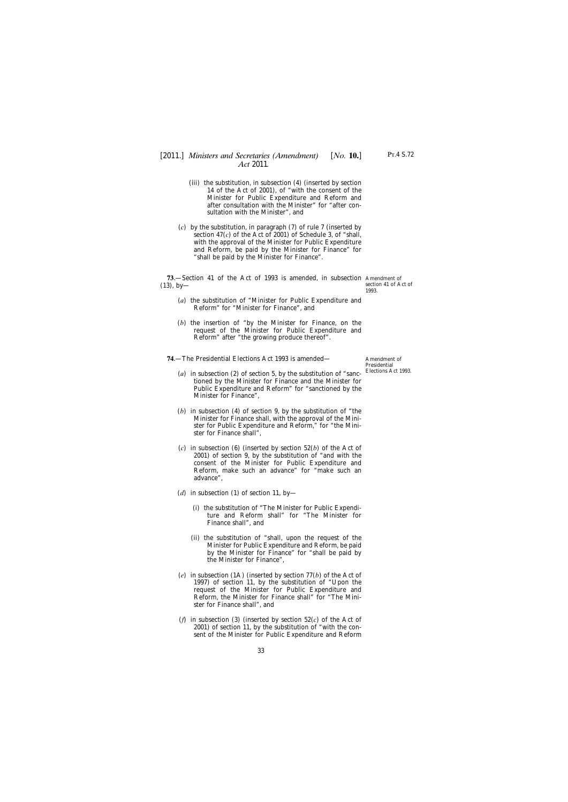### <span id="page-32-0"></span>[2011.] [ *Ministers and Secretaries (Amendment) No.* **10.**] *Act* 2011*.*

- (iii) the substitution, in subsection (4) (inserted by section 14 of the Act of 2001), of "with the consent of the Minister for Public Expenditure and Reform and after consultation with the Minister" for "after consultation with the Minister", and
- (*c*) by the substitution, in paragraph (7) of rule 7 (inserted by section 47(*c*) of the Act of 2001) of Schedule 3, of "shall, with the approval of the Minister for Public Expenditure and Reform, be paid by the Minister for Finance" for "shall be paid by the Minister for Finance".

**73**.—Section 41 of the Act of 1993 is amended, in subsection Amendment of  $(13)$ , by-

section 41 of Act of 1993.

- (*a*) the substitution of "Minister for Public Expenditure and Reform" for "Minister for Finance", and
- (*b*) the insertion of "by the Minister for Finance, on the request of the Minister for Public Expenditure and Reform" after "the growing produce thereof".

**74**.—The Presidential Elections Act 1993 is amended—

- (*a*) in subsection (2) of section 5, by the substitution of "sanctioned by the Minister for Finance and the Minister for Public Expenditure and Reform" for "sanctioned by the Minister for Finance",
- (*b*) in subsection (4) of section 9, by the substitution of "the Minister for Finance shall, with the approval of the Minister for Public Expenditure and Reform," for "the Minister for Finance shall",
- (*c*) in subsection (6) (inserted by section 52(*b*) of the Act of 2001) of section 9, by the substitution of "and with the consent of the Minister for Public Expenditure and Reform, make such an advance" for "make such an advance",
- (*d*) in subsection (1) of section 11, by—
	- (i) the substitution of "The Minister for Public Expenditure and Reform shall" for "The Minister for Finance shall", and
	- (ii) the substitution of "shall, upon the request of the Minister for Public Expenditure and Reform, be paid by the Minister for Finance" for "shall be paid by the Minister for Finance",
- (*e*) in subsection (1A) (inserted by section 77(*b*) of the Act of 1997) of section 11, by the substitution of "Upon the request of the Minister for Public Expenditure and Reform, the Minister for Finance shall" for "The Minister for Finance shall", and
- (*f*) in subsection (3) (inserted by section  $52(c)$  of the Act of 2001) of section 11, by the substitution of "with the consent of the Minister for Public Expenditure and Reform

Amendment of Presidential Elections Act 1993.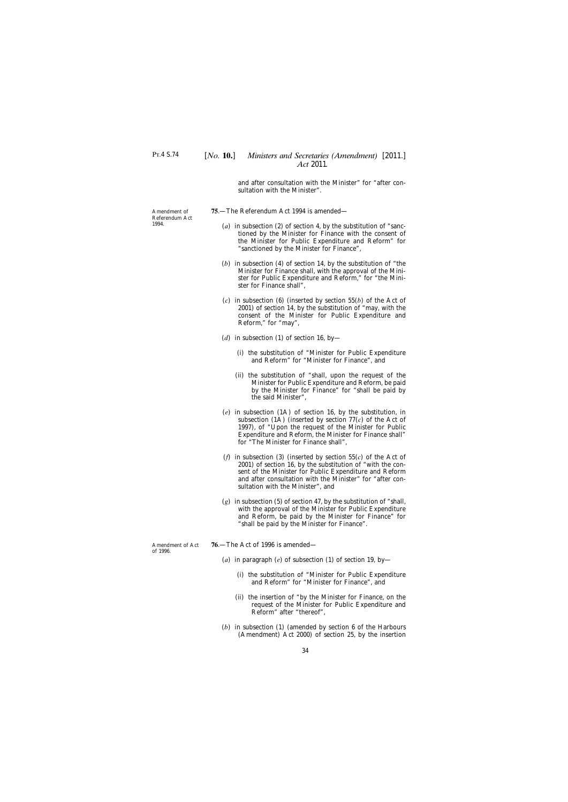<span id="page-33-0"></span>Amendment of Referendum Act

1994.

### [*No.* **10.**] *Ministers and Secretaries (Amendment)* [2011.] *Act* 2011*.*

and after consultation with the Minister" for "after consultation with the Minister".

- **75**.—The Referendum Act 1994 is amended—
	- (*a*) in subsection (2) of section 4, by the substitution of "sanctioned by the Minister for Finance with the consent of the Minister for Public Expenditure and Reform" for "sanctioned by the Minister for Finance",
	- (*b*) in subsection (4) of section 14, by the substitution of "the Minister for Finance shall, with the approval of the Minister for Public Expenditure and Reform," for "the Minister for Finance shall",
	- (*c*) in subsection (6) (inserted by section 55(*b*) of the Act of 2001) of section 14, by the substitution of "may, with the consent of the Minister for Public Expenditure and Reform," for "may",
	- (*d*) in subsection (1) of section 16, by—
		- (i) the substitution of "Minister for Public Expenditure and Reform" for "Minister for Finance", and
		- (ii) the substitution of "shall, upon the request of the Minister for Public Expenditure and Reform, be paid by the Minister for Finance" for "shall be paid by the said Minister",
	- (*e*) in subsection (1A) of section 16, by the substitution, in subsection (1A) (inserted by section 77(*c*) of the Act of 1997), of "Upon the request of the Minister for Public Expenditure and Reform, the Minister for Finance shall" for "The Minister for Finance shall",
	- (*f*) in subsection (3) (inserted by section 55(*c*) of the Act of 2001) of section 16, by the substitution of "with the consent of the Minister for Public Expenditure and Reform and after consultation with the Minister" for "after consultation with the Minister", and
	- (*g*) in subsection (5) of section 47, by the substitution of "shall, with the approval of the Minister for Public Expenditure and Reform, be paid by the Minister for Finance" for "shall be paid by the Minister for Finance".

Amendment of Act of 1996.

- **76**.—The Act of 1996 is amended—
	- (*a*) in paragraph (*e*) of subsection (1) of section 19, by—
		- (i) the substitution of "Minister for Public Expenditure and Reform" for "Minister for Finance", and
		- (ii) the insertion of "by the Minister for Finance, on the request of the Minister for Public Expenditure and Reform" after "thereof",
	- (*b*) in subsection (1) (amended by section 6 of the Harbours (Amendment) Act 2000) of section 25, by the insertion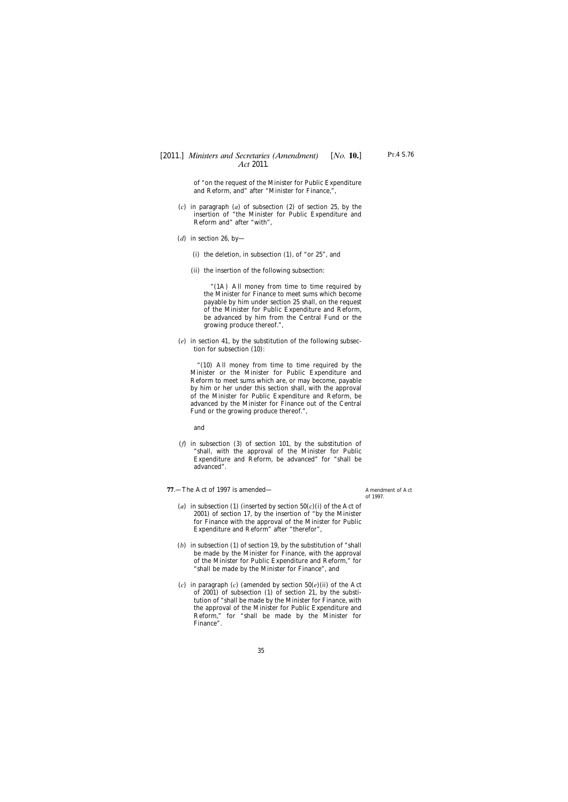<span id="page-34-0"></span>of "on the request of the Minister for Public Expenditure and Reform, and" after "Minister for Finance,",

- (*c*) in paragraph (*a*) of subsection (2) of section 25, by the insertion of "the Minister for Public Expenditure and Reform and" after "with",
- (*d*) in section 26, by—
	- (i) the deletion, in subsection (1), of "or 25", and
	- (ii) the insertion of the following subsection:

"(1A) All money from time to time required by the Minister for Finance to meet sums which become payable by him under section 25 shall, on the request of the Minister for Public Expenditure and Reform, be advanced by him from the Central Fund or the growing produce thereof.",

(*e*) in section 41, by the substitution of the following subsection for subsection (10):

"(10) All money from time to time required by the Minister or the Minister for Public Expenditure and Reform to meet sums which are, or may become, payable by him or her under this section shall, with the approval of the Minister for Public Expenditure and Reform, be advanced by the Minister for Finance out of the Central Fund or the growing produce thereof.",

and

(*f*) in subsection (3) of section 101, by the substitution of "shall, with the approval of the Minister for Public Expenditure and Reform, be advanced" for "shall be advanced".

**77**.—The Act of 1997 is amended—

Amendment of Act of 1997.

- (*a*) in subsection (1) (inserted by section 50(*c*)(i) of the Act of 2001) of section 17, by the insertion of "by the Minister for Finance with the approval of the Minister for Public Expenditure and Reform" after "therefor",
- (*b*) in subsection (1) of section 19, by the substitution of "shall be made by the Minister for Finance, with the approval of the Minister for Public Expenditure and Reform," for "shall be made by the Minister for Finance", and
- (*c*) in paragraph (*c*) (amended by section 50(*e*)(ii) of the Act of 2001) of subsection (1) of section 21, by the substitution of "shall be made by the Minister for Finance, with the approval of the Minister for Public Expenditure and Reform," for "shall be made by the Minister for Finance".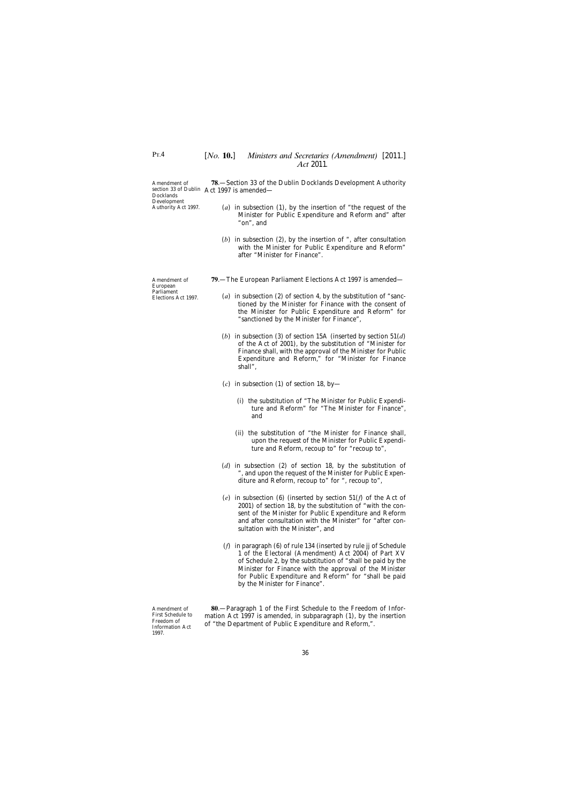Amendment of Docklands Development Authority Act 1997.

<span id="page-35-0"></span>section 33 of Dublin Act 1997 is amended— **78**.—Section 33 of the Dublin Docklands Development Authority

- (*a*) in subsection (1), by the insertion of "the request of the Minister for Public Expenditure and Reform and" after "on", and
- (*b*) in subsection (2), by the insertion of ", after consultation with the Minister for Public Expenditure and Reform" after "Minister for Finance".

Amendment of European Parliament Elections Act 1997.

- **79**.—The European Parliament Elections Act 1997 is amended—
	- (*a*) in subsection (2) of section 4, by the substitution of "sanctioned by the Minister for Finance with the consent of the Minister for Public Expenditure and Reform" for "sanctioned by the Minister for Finance",
	- (*b*) in subsection (3) of section 15A (inserted by section 51(*d*) of the Act of 2001), by the substitution of "Minister for Finance shall, with the approval of the Minister for Public Expenditure and Reform," for "Minister for Finance shall",
	- (*c*) in subsection (1) of section 18, by—
		- (i) the substitution of "The Minister for Public Expenditure and Reform" for "The Minister for Finance", and
		- (ii) the substitution of "the Minister for Finance shall, upon the request of the Minister for Public Expenditure and Reform, recoup to" for "recoup to",
	- (*d*) in subsection (2) of section 18, by the substitution of ", and upon the request of the Minister for Public Expenditure and Reform, recoup to" for ", recoup to",
	- (*e*) in subsection (6) (inserted by section 51(*f*) of the Act of 2001) of section 18, by the substitution of "with the consent of the Minister for Public Expenditure and Reform and after consultation with the Minister" for "after consultation with the Minister", and
	- (*f*) in paragraph (6) of rule 134 (inserted by rule jj of Schedule 1 of the Electoral (Amendment) Act 2004) of Part XV of Schedule 2, by the substitution of "shall be paid by the Minister for Finance with the approval of the Minister for Public Expenditure and Reform" for "shall be paid by the Minister for Finance".

Amendment of First Schedule to Freedom of Information Act 1997.

**80**.—Paragraph 1 of the First Schedule to the Freedom of Information Act 1997 is amended, in subparagraph (1), by the insertion of "the Department of Public Expenditure and Reform,".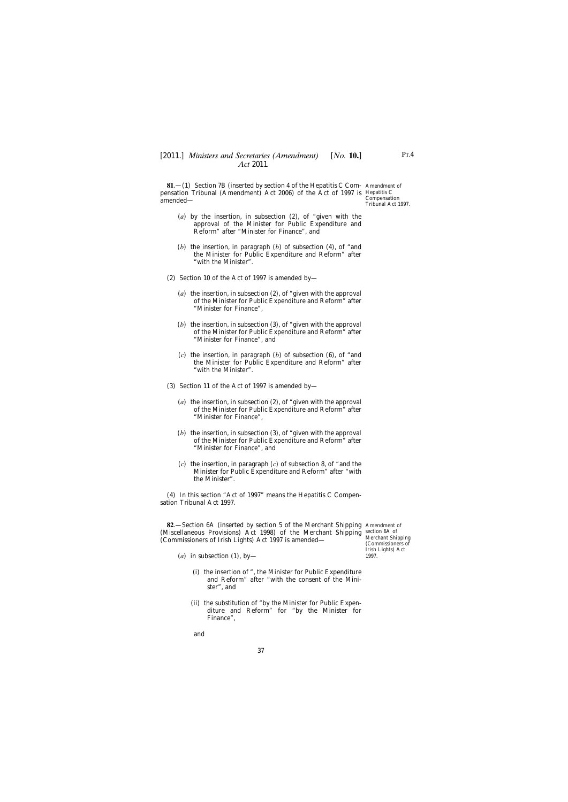<span id="page-36-0"></span>**81**.—(1) Section 7B (inserted by section 4 of the Hepatitis C Com-Amendment of pensation Tribunal (Amendment) Act 2006) of the Act of 1997 is Hepatitis C amended—

Compensation Tribunal Act 1997.

- (*a*) by the insertion, in subsection (2), of "given with the approval of the Minister for Public Expenditure and Reform" after "Minister for Finance", and
- (*b*) the insertion, in paragraph (*b*) of subsection (4), of "and the Minister for Public Expenditure and Reform" after "with the Minister".
- (2) Section 10 of the Act of 1997 is amended by—
	- (*a*) the insertion, in subsection (2), of "given with the approval of the Minister for Public Expenditure and Reform" after "Minister for Finance",
	- (*b*) the insertion, in subsection (3), of "given with the approval of the Minister for Public Expenditure and Reform" after "Minister for Finance", and
	- (*c*) the insertion, in paragraph (*b*) of subsection (6), of "and the Minister for Public Expenditure and Reform" after "with the Minister".
- (3) Section 11 of the Act of 1997 is amended by—
	- (*a*) the insertion, in subsection (2), of "given with the approval of the Minister for Public Expenditure and Reform" after "Minister for Finance",
	- (*b*) the insertion, in subsection (3), of "given with the approval of the Minister for Public Expenditure and Reform" after "Minister for Finance", and
	- (*c*) the insertion, in paragraph (*c*) of subsection 8, of "and the Minister for Public Expenditure and Reform" after "with the Minister".

(4) In this section "Act of 1997" means the Hepatitis C Compensation Tribunal Act 1997.

**82**.—Section 6A (inserted by section 5 of the Merchant Shipping Amendment of (Miscellaneous Provisions) Act 1998) of the Merchant Shipping section 6A of (Commissioners of Irish Lights) Act 1997 is amended—

Merchant Shipping (Commissioners of Irish Lights) Act 1997.

- (*a*) in subsection (1), by-
	- (i) the insertion of ", the Minister for Public Expenditure and Reform" after "with the consent of the Minister", and
	- (ii) the substitution of "by the Minister for Public Expenditure and Reform" for "by the Minister for Finance",

and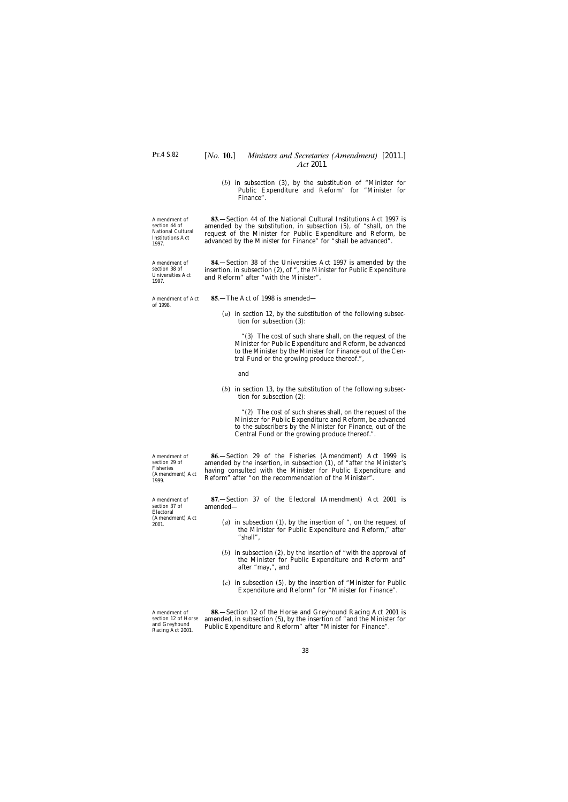(*b*) in subsection (3), by the substitution of "Minister for Public Expenditure and Reform" for "Minister for Finance".

**83**.—Section 44 of the National Cultural Institutions Act 1997 is amended by the substitution, in subsection (5), of "shall, on the request of the Minister for Public Expenditure and Reform, be advanced by the Minister for Finance" for "shall be advanced".

<span id="page-37-0"></span>Amendment of section 44 of National Cultural Institutions Act 1997.

Amendment of section 38 of Universities Act 1997.

Amendment of Act of 1998.

**84**.—Section 38 of the Universities Act 1997 is amended by the insertion, in subsection (2), of ", the Minister for Public Expenditure

**85**.—The Act of 1998 is amended—

and Reform" after "with the Minister".

"(3) The cost of such share shall, on the request of the Minister for Public Expenditure and Reform, be advanced to the Minister by the Minister for Finance out of the Central Fund or the growing produce thereof.",

and

(*b*) in section 13, by the substitution of the following subsection for subsection (2):

"(2) The cost of such shares shall, on the request of the Minister for Public Expenditure and Reform, be advanced to the subscribers by the Minister for Finance, out of the Central Fund or the growing produce thereof.".

**86**.—Section 29 of the Fisheries (Amendment) Act 1999 is amended by the insertion, in subsection (1), of "after the Minister's having consulted with the Minister for Public Expenditure and Reform" after "on the recommendation of the Minister".

**87**.—Section 37 of the Electoral (Amendment) Act 2001 is amended—

- (*a*) in subsection (1), by the insertion of ", on the request of the Minister for Public Expenditure and Reform," after "shall",
- (*b*) in subsection (2), by the insertion of "with the approval of the Minister for Public Expenditure and Reform and" after "may,", and
- (*c*) in subsection (5), by the insertion of "Minister for Public Expenditure and Reform" for "Minister for Finance".

Amendment of section 12 of Horse and Greyhound Racing Act 2001.

**88**.—Section 12 of the Horse and Greyhound Racing Act 2001 is amended, in subsection (5), by the insertion of "and the Minister for Public Expenditure and Reform" after "Minister for Finance".

Amendment of section 29 of Fisheries (Amendment) Act 1999.

Amendment of section 37 of Electoral (Amendment) Act

2001.

<sup>(</sup>*a*) in section 12, by the substitution of the following subsection for subsection (3):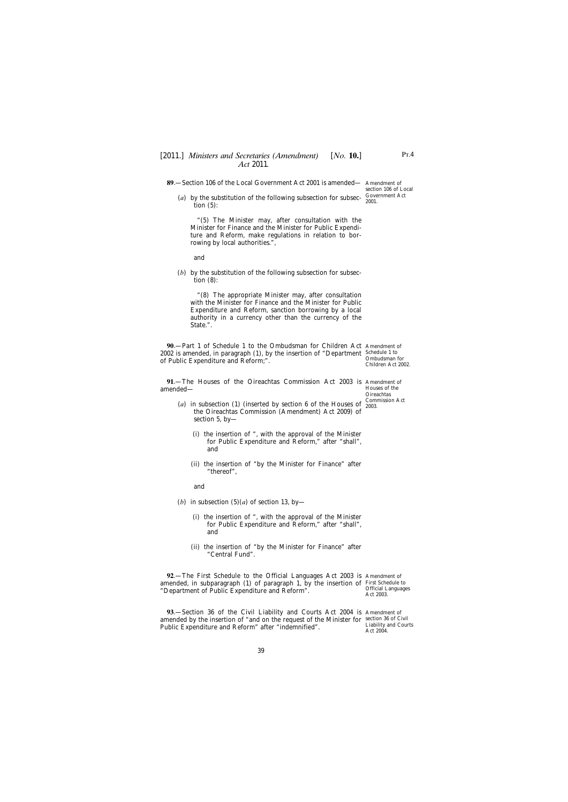section 106 of Local

<span id="page-38-0"></span>[2011.] [ *Ministers and Secretaries (Amendment) No.* **10.**] *Act* 2011*.*

**89**.—Section 106 of the Local Government Act 2001 is amended— Amendment of

(*a*) by the substitution of the following subsection for subsection  $(5)$ : Government Act 2001.

"(5) The Minister may, after consultation with the Minister for Finance and the Minister for Public Expenditure and Reform, make regulations in relation to borrowing by local authorities.",

and

(*b*) by the substitution of the following subsection for subsection (8):

"(8) The appropriate Minister may, after consultation with the Minister for Finance and the Minister for Public Expenditure and Reform, sanction borrowing by a local authority in a currency other than the currency of the State.".

**90**.—Part 1 of Schedule 1 to the Ombudsman for Children Act Amendment of 2002 is amended, in paragraph (1), by the insertion of "Department Schedule 1 to of Public Expenditure and Reform;".

**91**.—The Houses of the Oireachtas Commission Act 2003 is Amendment of amended—

Ombudsman for Children Act 2002.

Houses of the Oireachtas Commission Act 2003.

- (*a*) in subsection (1) (inserted by section 6 of the Houses of the Oireachtas Commission (Amendment) Act 2009) of section 5, by—
	- (i) the insertion of ", with the approval of the Minister for Public Expenditure and Reform," after "shall", and
	- (ii) the insertion of "by the Minister for Finance" after "thereof",

and

- (*b*) in subsection (5)(*a*) of section 13, by-
	- (i) the insertion of ", with the approval of the Minister for Public Expenditure and Reform," after "shall", and
	- (ii) the insertion of "by the Minister for Finance" after "Central Fund".

**92**.—The First Schedule to the Official Languages Act 2003 is Amendment of amended, in subparagraph (1) of paragraph 1, by the insertion of First Schedule to "Department of Public Expenditure and Reform".

Official Languages Act 2003.

**93**.—Section 36 of the Civil Liability and Courts Act 2004 is Amendment of amended by the insertion of "and on the request of the Minister for section 36 of Civil Public Expenditure and Reform" after "indemnified".

Liability and Courts Act 2004.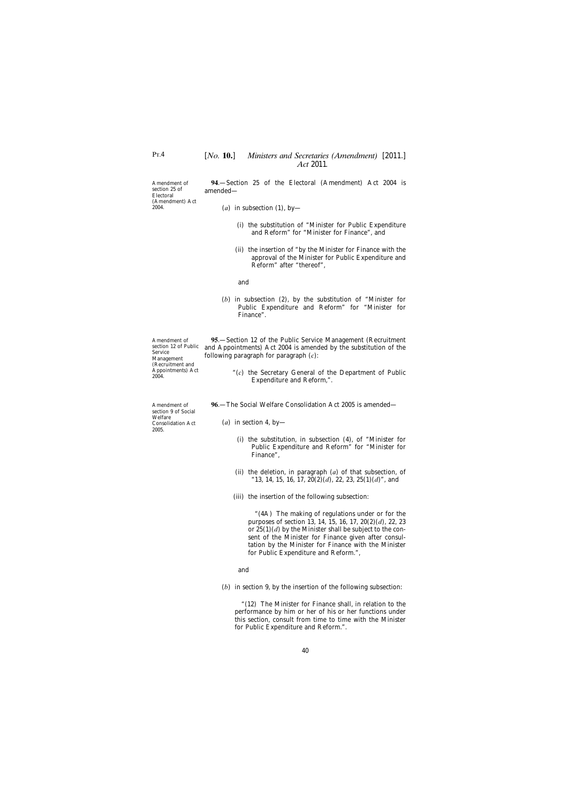<span id="page-39-0"></span>Amendment of section 25 of Electoral (Amendment) Act 2004.

**94**.—Section 25 of the Electoral (Amendment) Act 2004 is amended—

(*a*) in subsection (1), by-

- (i) the substitution of "Minister for Public Expenditure and Reform" for "Minister for Finance", and
- (ii) the insertion of "by the Minister for Finance with the approval of the Minister for Public Expenditure and Reform" after "thereof",

and

(*b*) in subsection (2), by the substitution of "Minister for Public Expenditure and Reform" for "Minister for Finance".

**95**.—Section 12 of the Public Service Management (Recruitment and Appointments) Act 2004 is amended by the substitution of the following paragraph for paragraph (*c*):

> "(*c*) the Secretary General of the Department of Public Expenditure and Reform,".

**96**.—The Social Welfare Consolidation Act 2005 is amended—

(*a*) in section 4, by—

- (i) the substitution, in subsection (4), of "Minister for Public Expenditure and Reform" for "Minister for Finance",
- (ii) the deletion, in paragraph (*a*) of that subsection, of "13, 14, 15, 16, 17,  $20(2)(d)$ , 22, 23,  $25(1)(d)$ ", and
- (iii) the insertion of the following subsection:

"(4A) The making of regulations under or for the purposes of section 13, 14, 15, 16, 17, 20(2)(*d*), 22, 23 or 25(1)(*d*) by the Minister shall be subject to the consent of the Minister for Finance given after consultation by the Minister for Finance with the Minister for Public Expenditure and Reform.",

and

(*b*) in section 9, by the insertion of the following subsection:

"(12) The Minister for Finance shall, in relation to the performance by him or her of his or her functions under this section, consult from time to time with the Minister for Public Expenditure and Reform.".

Amendment of section 9 of Social Welfare Consolidation Act 2005.

Amendment of section 12 of Public

Service Management (Recruitment and Appointments) Act

2004.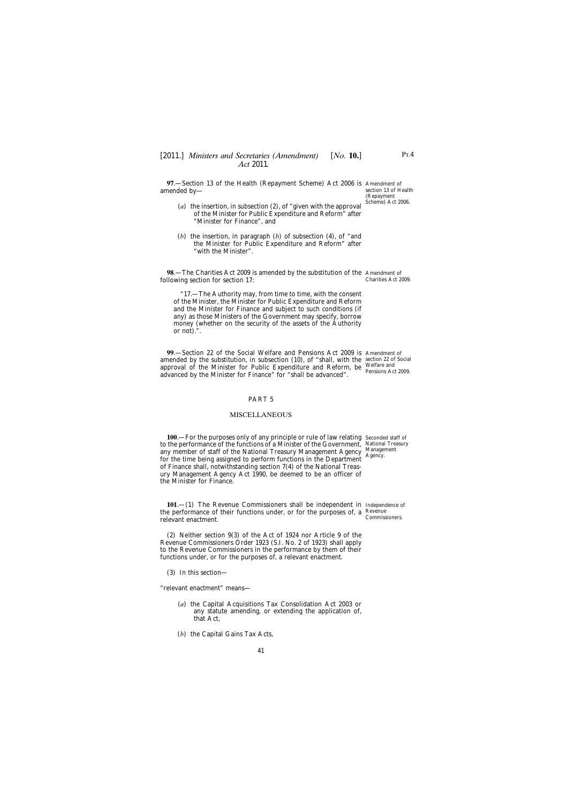<span id="page-40-0"></span>**97**.—Section 13 of the Health (Repayment Scheme) Act 2006 is Amendment of amended by—

- (*a*) the insertion, in subsection (2), of "given with the approval of the Minister for Public Expenditure and Reform" after "Minister for Finance", and
- (*b*) the insertion, in paragraph (*b*) of subsection (4), of "and the Minister for Public Expenditure and Reform" after "with the Minister".

**98**.—The Charities Act 2009 is amended by the substitution of the Amendment of following section for section 17:

"17.—The Authority may, from time to time, with the consent of the Minister, the Minister for Public Expenditure and Reform and the Minister for Finance and subject to such conditions (if any) as those Ministers of the Government may specify, borrow money (whether on the security of the assets of the Authority or not).".

**99**.—Section 22 of the Social Welfare and Pensions Act 2009 is Amendment of amended by the substitution, in subsection (10), of "shall, with the section 22 of Social approval of the Minister for Public Expenditure and Reform, be advanced by the Minister for Finance" for "shall be advanced".

#### PART 5

#### MISCELLANEOUS

**100**.—For the purposes only of any principle or rule of law relating Seconded staff of to the performance of the functions of a Minister of the Government, National Treasury any member of staff of the National Treasury Management Agency for the time being assigned to perform functions in the Department of Finance shall, notwithstanding section 7(4) of the National Treasury Management Agency Act 1990, be deemed to be an officer of the Minister for Finance.

Management Agency.

**101**.—(1) The Revenue Commissioners shall be independent in Independence of the performance of their functions under, or for the purposes of, a Revenue relevant enactment.

(2) Neither section 9(3) of the Act of 1924 nor Article 9 of the Revenue Commissioners Order 1923 (S.I. No. 2 of 1923) shall apply to the Revenue Commissioners in the performance by them of their functions under, or for the purposes of, a relevant enactment.

(3) In this section—

"relevant enactment" means—

- (*a*) the Capital Acquisitions Tax Consolidation Act 2003 or any statute amending, or extending the application of, that Act,
- (*b*) the Capital Gains Tax Acts,

section 13 of Health (Repayment Scheme) Act 2006.

Charities Act 2009.

Welfare and Pensions Act 2009.

Commissioners.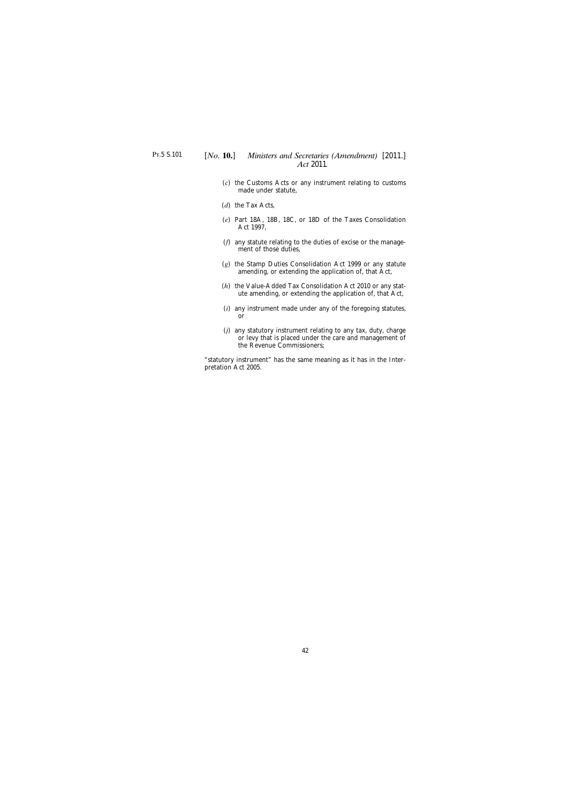- (*c*) the Customs Acts or any instrument relating to customs made under statute,
- (*d*) the Tax Acts,
- (*e*) Part 18A, 18B, 18C, or 18D of the Taxes Consolidation Act 1997,
- (*f*) any statute relating to the duties of excise or the management of those duties,
- (*g*) the Stamp Duties Consolidation Act 1999 or any statute amending, or extending the application of, that  $\overrightarrow{A}$ ct,
- (*h*) the Value-Added Tax Consolidation Act 2010 or any statute amending, or extending the application of, that Act,
- (*i*) any instrument made under any of the foregoing statutes, or
- (*j*) any statutory instrument relating to any tax, duty, charge or levy that is placed under the care and management of the Revenue Commissioners;

"statutory instrument" has the same meaning as it has in the Interpretation Act 2005.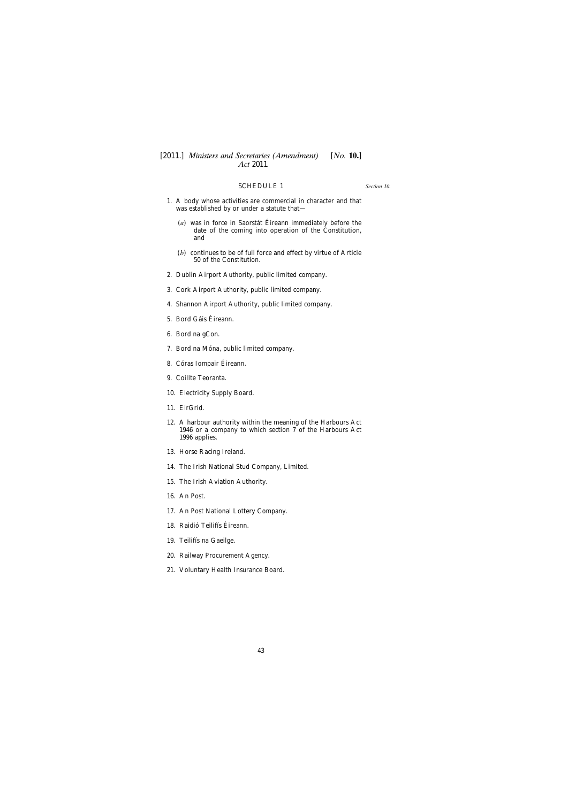### SCHEDULE 1

*Section 10.*

- <span id="page-42-0"></span>1. A body whose activities are commercial in character and that was established by or under a statute that—
	- (*a*) was in force in Saorstát Éireann immediately before the date of the coming into operation of the Constitution, and
	- (*b*) continues to be of full force and effect by virtue of Article 50 of the Constitution.
- 2. Dublin Airport Authority, public limited company.
- 3. Cork Airport Authority, public limited company.
- 4. Shannon Airport Authority, public limited company.
- 5. Bord Gáis Éireann.
- 6. Bord na gCon.
- 7. Bord na Móna, public limited company.
- 8. Córas Iompair Éireann.
- 9. Coillte Teoranta.
- 10. Electricity Supply Board.
- 11. EirGrid.
- 12. A harbour authority within the meaning of the Harbours Act 1946 or a company to which section  $\tilde{7}$  of the Harbours Act 1996 applies.
- 13. Horse Racing Ireland.
- 14. The Irish National Stud Company, Limited.
- 15. The Irish Aviation Authority.
- 16. An Post.
- 17. An Post National Lottery Company.
- 18. Raidió Teilifís Éireann.
- 19. Teilifís na Gaeilge.
- 20. Railway Procurement Agency.
- 21. Voluntary Health Insurance Board.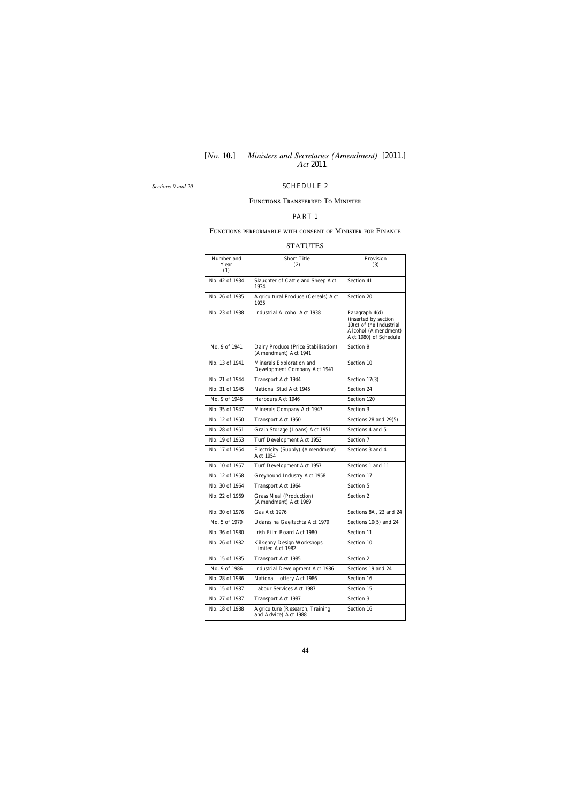<span id="page-43-0"></span>*Sections 9 and 20*

## SCHEDULE 2

### Functions Transferred To Minister

## PART 1

### Functions performable with consent of Minister for Finance

#### **STATUTES**

| Number and<br>Year | <b>Short Title</b><br>(2)                                   | Provision<br>(3)                                                                                                    |
|--------------------|-------------------------------------------------------------|---------------------------------------------------------------------------------------------------------------------|
| (1)                |                                                             |                                                                                                                     |
| No. 42 of 1934     | Slaughter of Cattle and Sheep Act<br>1934                   | Section 41                                                                                                          |
| No. 26 of 1935     | Agricultural Produce (Cereals) Act<br>1935                  | Section 20                                                                                                          |
| No. 23 of 1938     | <b>Industrial Alcohol Act 1938</b>                          | Paragraph 4(d)<br>(inserted by section<br>$10(c)$ of the Industrial<br>Alcohol (Amendment)<br>Act 1980) of Schedule |
| No. 9 of 1941      | Dairy Produce (Price Stabilisation)<br>(Amendment) Act 1941 | Section 9                                                                                                           |
| No. 13 of 1941     | Minerals Exploration and<br>Development Company Act 1941    | Section 10                                                                                                          |
| No. 21 of 1944     | <b>Transport Act 1944</b>                                   | Section 17(3)                                                                                                       |
| No. 31 of 1945     | National Stud Act 1945                                      | Section 24                                                                                                          |
| No. 9 of 1946      | Harbours Act 1946                                           | Section 120                                                                                                         |
| No. 35 of 1947     | Minerals Company Act 1947                                   | Section 3                                                                                                           |
| No. 12 of 1950     | <b>Transport Act 1950</b>                                   | Sections $28$ and $29(5)$                                                                                           |
| No. 28 of 1951     | Grain Storage (Loans) Act 1951                              | Sections 4 and 5                                                                                                    |
| No. 19 of 1953     | Turf Development Act 1953                                   | Section 7                                                                                                           |
| No. 17 of 1954     | Electricity (Supply) (Amendment)<br><b>Act 1954</b>         | Sections 3 and 4                                                                                                    |
| No. 10 of 1957     | Turf Development Act 1957                                   | Sections 1 and 11                                                                                                   |
| No. 12 of 1958     | Greyhound Industry Act 1958                                 | Section 17                                                                                                          |
| No. 30 of 1964     | <b>Transport Act 1964</b>                                   | Section 5                                                                                                           |
| No. 22 of 1969     | Grass Meal (Production)<br>(Amendment) Act 1969             | Section 2                                                                                                           |
| No. 30 of 1976     | Gas Act 1976                                                | Sections 8A, 23 and 24                                                                                              |
| No. 5 of 1979      | Údarás na Gaeltachta Act 1979                               | Sections $10(5)$ and $24$                                                                                           |
| No. 36 of 1980     | Irish Film Board Act 1980                                   | Section 11                                                                                                          |
| No. 26 of 1982     | Kilkenny Design Workshops<br>Limited Act 1982               | Section 10                                                                                                          |
| No. 15 of 1985     | <b>Transport Act 1985</b>                                   | Section 2                                                                                                           |
| No. 9 of 1986      | <b>Industrial Development Act 1986</b>                      | Sections 19 and 24                                                                                                  |
| No. 28 of 1986     | National Lottery Act 1986                                   | Section 16                                                                                                          |
| No. 15 of 1987     | <b>Labour Services Act 1987</b>                             | Section 15                                                                                                          |
| No. 27 of 1987     | <b>Transport Act 1987</b>                                   | Section 3                                                                                                           |
| No. 18 of 1988     | Agriculture (Research, Training<br>and Advice) Act 1988     | Section 16                                                                                                          |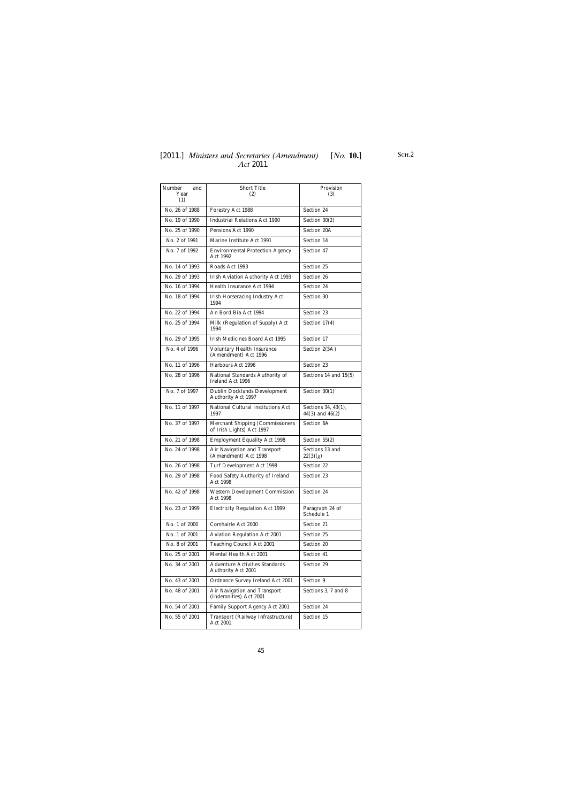| <b>Number</b><br>and<br>Year | <b>Short Title</b><br>(2)                                     | Provision<br>(3)                           |
|------------------------------|---------------------------------------------------------------|--------------------------------------------|
| (1)                          |                                                               |                                            |
| No. 26 of 1988               | Forestry Act 1988                                             | Section 24                                 |
| No. 19 of 1990               | <b>Industrial Relations Act 1990</b>                          | Section $30(2)$                            |
| No. 25 of 1990               | Pensions Act 1990                                             | Section 20A                                |
| No. 2 of 1991                | Marine Institute Act 1991                                     | Section 14                                 |
| No. 7 of 1992                | <b>Environmental Protection Agency</b><br>Act 1992            | Section 47                                 |
| No. 14 of 1993               | Roads Act 1993                                                | Section 25                                 |
| No. 29 of 1993               | Irish Aviation Authority Act 1993                             | Section 26                                 |
| No. 16 of 1994               | Health Insurance Act 1994                                     | Section 24                                 |
| No. 18 of 1994               | <b>Irish Horseracing Industry Act</b><br>1994                 | Section 30                                 |
| No. 22 of 1994               | An Bord Bia Act 1994                                          | Section 23                                 |
| No. 25 of 1994               | Milk (Regulation of Supply) Act<br>1994                       | Section 17(4)                              |
| No. 29 of 1995               | Irish Medicines Board Act 1995                                | Section 17                                 |
| No. 4 of 1996                | <b>Voluntary Health Insurance</b><br>(Amendment) Act 1996     | Section 2(5A)                              |
| No. 11 of 1996               | Harbours Act 1996                                             | Section 23                                 |
| No. 28 of 1996               | National Standards Authority of<br>Ireland Act 1996           | Sections 14 and $15(5)$                    |
| No. 7 of 1997                | Dublin Docklands Development<br><b>Authority Act 1997</b>     | Section $30(1)$                            |
| No. 11 of 1997               | National Cultural Institutions Act<br>1997                    | Sections 34, 43(1),<br>$44(3)$ and $46(2)$ |
| No. 37 of 1997               | Merchant Shipping (Commissioners<br>of Irish Lights) Act 1997 | <b>Section 6A</b>                          |
| No. 21 of 1998               | <b>Employment Equality Act 1998</b>                           | Section $55(2)$                            |
| No. 24 of 1998               | Air Navigation and Transport<br>(Amendment) Act 1998          | Sections 13 and<br>22(3)(g)                |
| No. 26 of 1998               | Turf Development Act 1998                                     | Section 22                                 |
| No. 29 of 1998               | Food Safety Authority of Ireland<br><b>Act 1998</b>           | Section 23                                 |
| No. 42 of 1998               | <b>Western Development Commission</b><br><b>Act 1998</b>      | Section 24                                 |
| No. 23 of 1999               | <b>Electricity Regulation Act 1999</b>                        | Paragraph 24 of<br>Schedule 1              |
| No. 1 of 2000                | Comhairle Act 2000                                            | Section 21                                 |
| No. 1 of 2001                | <b>Aviation Regulation Act 2001</b>                           | Section 25                                 |
| No. 8 of 2001                | Teaching Council Act 2001                                     | Section 20                                 |
| No. 25 of 2001               | Mental Health Act 2001                                        | Section 41                                 |
| No. 34 of 2001               | <b>Adventure Activities Standards</b><br>Authority Act 2001   | Section 29                                 |
| No. 43 of 2001               | Ordnance Survey Ireland Act 2001                              | Section 9                                  |
| No. 48 of 2001               | Air Navigation and Transport<br>(Indemnities) Act 2001        | Sections 3, 7 and 8                        |
| No. 54 of 2001               | Family Support Agency Act 2001                                | Section 24                                 |
| No. 55 of 2001               | Transport (Railway Infrastructure)<br><b>Act 2001</b>         | Section 15                                 |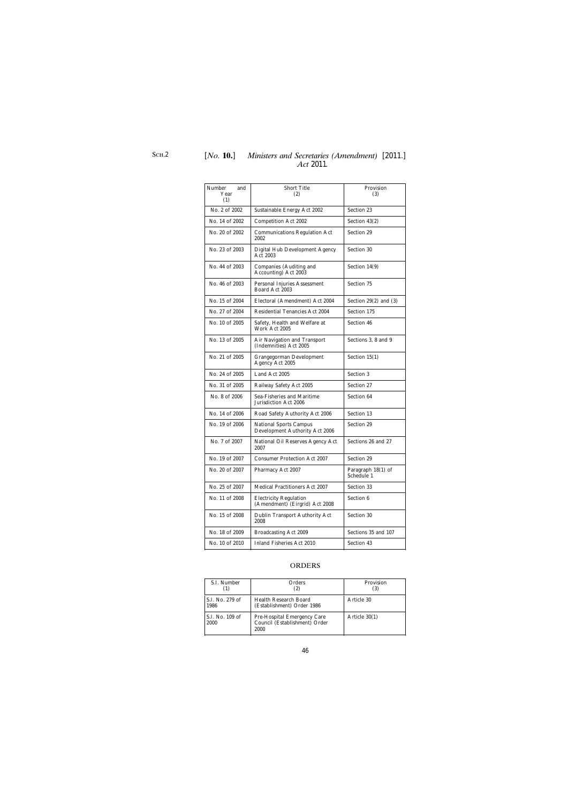| Number<br>and<br>Year | <b>Short Title</b><br>(2)                                       | Provision<br>(3)                   |
|-----------------------|-----------------------------------------------------------------|------------------------------------|
| (1)                   |                                                                 |                                    |
| No. 2 of 2002         | Sustainable Energy Act 2002                                     | Section 23                         |
| No. 14 of 2002        | <b>Competition Act 2002</b>                                     | Section 43(2)                      |
| No. 20 of 2002        | <b>Communications Regulation Act</b><br>2002                    | Section 29                         |
| No. 23 of 2003        | Digital Hub Development Agency<br><b>Act 2003</b>               | Section 30                         |
| No. 44 of 2003        | Companies (Auditing and<br>Accounting) Act 2003                 | Section 14(9)                      |
| No. 46 of 2003        | Personal Injuries Assessment<br>Board Act 2003                  | Section 75                         |
| No. 15 of 2004        | Electoral (Amendment) Act 2004                                  | Section $29(2)$ and $(3)$          |
| No. 27 of 2004        | <b>Residential Tenancies Act 2004</b>                           | Section 175                        |
| No. 10 of 2005        | Safety, Health and Welfare at<br>Work Act 2005                  | Section 46                         |
| No. 13 of 2005        | Air Navigation and Transport<br>(Indemnities) Act 2005          | Sections 3, 8 and 9                |
| No. 21 of 2005        | Grangegorman Development<br><b>Agency Act 2005</b>              | Section $15(1)$                    |
| No. 24 of 2005        | Land Act 2005                                                   | Section 3                          |
| No. 31 of 2005        | Railway Safety Act 2005                                         | Section 27                         |
| No. 8 of 2006         | Sea-Fisheries and Maritime<br>Jurisdiction Act 2006             | Section 64                         |
| No. 14 of 2006        | Road Safety Authority Act 2006                                  | Section 13                         |
| No. 19 of 2006        | <b>National Sports Campus</b><br>Development Authority Act 2006 | Section 29                         |
| No. 7 of 2007         | National Oil Reserves Agency Act<br>2007                        | Sections 26 and 27                 |
| No. 19 of 2007        | <b>Consumer Protection Act 2007</b>                             | Section 29                         |
| No. 20 of 2007        | Pharmacy Act 2007                                               | Paragraph $18(1)$ of<br>Schedule 1 |
| No. 25 of 2007        | Medical Practitioners Act 2007                                  | Section 33                         |
| No. 11 of 2008        | <b>Electricity Regulation</b><br>(Amendment) (Eirgrid) Act 2008 | Section 6                          |
| No. 15 of 2008        | Dublin Transport Authority Act<br>2008                          | Section 30                         |
| No. 18 of 2009        | Broadcasting Act 2009                                           | Sections 35 and 107                |
| No. 10 of 2010        | <b>Inland Fisheries Act 2010</b>                                | Section 43                         |
|                       |                                                                 |                                    |

# ORDERS

| S.I. Number             | Orders<br>(2)                                                        | Provision<br>(3) |
|-------------------------|----------------------------------------------------------------------|------------------|
| S.I. No. 279 of<br>1986 | Health Research Board<br>(Establishment) Order 1986                  | Article 30       |
| S.I. No. 109 of<br>2000 | Pre-Hospital Emergency Care<br>Council (Establishment) Order<br>2000 | Article $30(1)$  |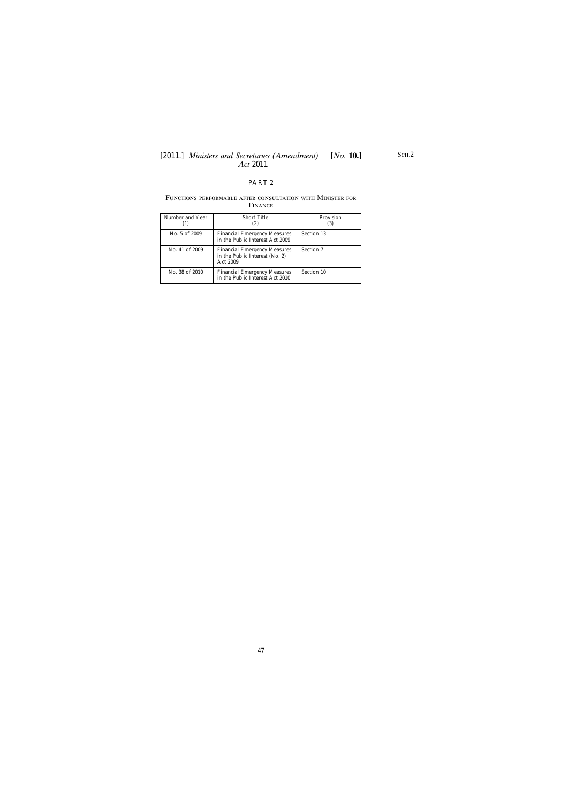## PART 2

### Functions performable after consultation with Minister for Finance

| Number and Year | <b>Short Title</b>                                                                | Provision  |
|-----------------|-----------------------------------------------------------------------------------|------------|
| No. 5 of 2009   | <b>Financial Emergency Measures</b><br>in the Public Interest Act 2009            | Section 13 |
| No. 41 of 2009  | <b>Financial Emergency Measures</b><br>in the Public Interest (No. 2)<br>Act 2009 | Section 7  |
| No. 38 of 2010  | <b>Financial Emergency Measures</b><br>in the Public Interest Act 2010            | Section 10 |